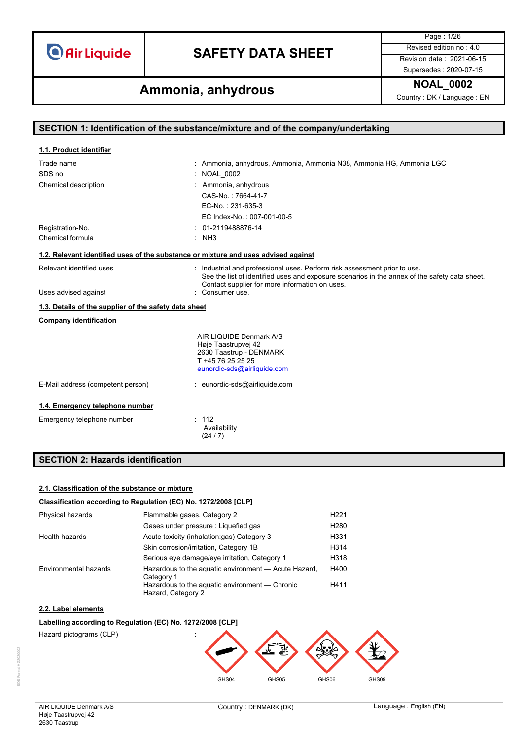## **SAFETY DATA SHEET** Revised edition no : 4.0

Page : 1/26 Supersedes : 2020-07-15

**Ammonia, anhydrous Ammonia, and Ammonia, and Ammonial Country**: DK / Language : EN

| SECTION 1: Identification of the substance/mixture and of the company/undertaking |                                                                                                                                                                                                                              |  |  |
|-----------------------------------------------------------------------------------|------------------------------------------------------------------------------------------------------------------------------------------------------------------------------------------------------------------------------|--|--|
|                                                                                   |                                                                                                                                                                                                                              |  |  |
| 1.1. Product identifier                                                           |                                                                                                                                                                                                                              |  |  |
| Trade name                                                                        | : Ammonia, anhydrous, Ammonia, Ammonia N38, Ammonia HG, Ammonia LGC                                                                                                                                                          |  |  |
| SDS no                                                                            | <b>NOAL 0002</b>                                                                                                                                                                                                             |  |  |
| Chemical description                                                              | : Ammonia, anhydrous                                                                                                                                                                                                         |  |  |
|                                                                                   | CAS-No.: 7664-41-7                                                                                                                                                                                                           |  |  |
|                                                                                   | EC-No.: 231-635-3                                                                                                                                                                                                            |  |  |
|                                                                                   | EC Index-No.: 007-001-00-5                                                                                                                                                                                                   |  |  |
| Registration-No.                                                                  | $: 01-2119488876-14$                                                                                                                                                                                                         |  |  |
| Chemical formula                                                                  | $:$ NH3                                                                                                                                                                                                                      |  |  |
|                                                                                   | 1.2. Relevant identified uses of the substance or mixture and uses advised against                                                                                                                                           |  |  |
| Relevant identified uses                                                          | : Industrial and professional uses. Perform risk assessment prior to use.<br>See the list of identified uses and exposure scenarios in the annex of the safety data sheet.<br>Contact supplier for more information on uses. |  |  |
| Uses advised against                                                              | : Consumer use.                                                                                                                                                                                                              |  |  |
| 1.3. Details of the supplier of the safety data sheet                             |                                                                                                                                                                                                                              |  |  |
| <b>Company identification</b>                                                     |                                                                                                                                                                                                                              |  |  |
|                                                                                   | AIR LIQUIDE Denmark A/S                                                                                                                                                                                                      |  |  |
|                                                                                   | Høje Taastrupvej 42                                                                                                                                                                                                          |  |  |
|                                                                                   | 2630 Taastrup - DENMARK<br>T +45 76 25 25 25                                                                                                                                                                                 |  |  |
|                                                                                   | eunordic-sds@airliquide.com                                                                                                                                                                                                  |  |  |
| E-Mail address (competent person)                                                 | : eunordic-sds@airliquide.com                                                                                                                                                                                                |  |  |
| 1.4. Emergency telephone number                                                   |                                                                                                                                                                                                                              |  |  |
| Emergency telephone number                                                        | : 112<br>Availability<br>(24/7)                                                                                                                                                                                              |  |  |
| <b>SECTION 2: Hazards identification</b>                                          |                                                                                                                                                                                                                              |  |  |

### **2.1. Classification of the substance or mixture**

### **Classification according to Regulation (EC) No. 1272/2008 [CLP]**

| Physical hazards      | Flammable gases, Category 2                                          |                  |
|-----------------------|----------------------------------------------------------------------|------------------|
|                       | Gases under pressure : Liquefied gas                                 | H <sub>280</sub> |
| Health hazards        | Acute toxicity (inhalation:gas) Category 3                           | H331             |
|                       | Skin corrosion/irritation, Category 1B                               | H314             |
|                       | Serious eye damage/eye irritation, Category 1                        | H318             |
| Environmental hazards | Hazardous to the aquatic environment - Acute Hazard,<br>Category 1   | H400             |
|                       | Hazardous to the aquatic environment — Chronic<br>Hazard, Category 2 | H411             |

### **2.2. Label elements**

#### **Labelling according to Regulation (EC) No. 1272/2008 [CLP]**

Hazard pictograms (CLP) :

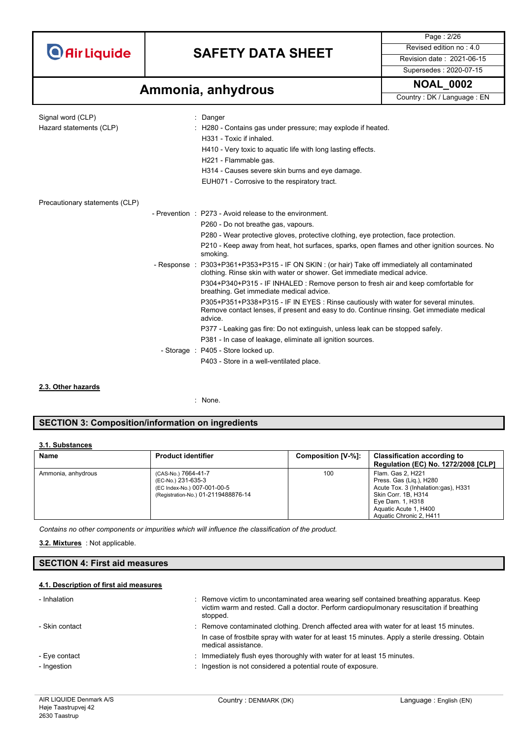### **SAFETY DATA SHEET** Revised edition no : 4.0

Supersedes : 2020-07-15

Page : 2/26

## **Ammonia, anhydrous** MOAL\_0002

Signal word (CLP)  $\qquad \qquad$ : Danger Hazard statements (CLP) : H280 - Contains gas under pressure; may explode if heated. H331 - Toxic if inhaled. H410 - Very toxic to aquatic life with long lasting effects. H221 - Flammable gas. H314 - Causes severe skin burns and eye damage. EUH071 - Corrosive to the respiratory tract. Precautionary statements (CLP) - Prevention : P273 - Avoid release to the environment. P260 - Do not breathe gas, vapours. P280 - Wear protective gloves, protective clothing, eye protection, face protection. P210 - Keep away from heat, hot surfaces, sparks, open flames and other ignition sources. No smoking. - Response : P303+P361+P353+P315 - IF ON SKIN : (or hair) Take off immediately all contaminated clothing. Rinse skin with water or shower. Get immediate medical advice. P304+P340+P315 - IF INHALED : Remove person to fresh air and keep comfortable for breathing. Get immediate medical advice. P305+P351+P338+P315 - IF IN EYES : Rinse cautiously with water for several minutes. Remove contact lenses, if present and easy to do. Continue rinsing. Get immediate medical advice. P377 - Leaking gas fire: Do not extinguish, unless leak can be stopped safely. P381 - In case of leakage, eliminate all ignition sources. - Storage : P405 - Store locked up. P403 - Store in a well-ventilated place.

#### **2.3. Other hazards**

: None.

### **SECTION 3: Composition/information on ingredients**

#### **3.1. Substances**

| Name               | <b>Product identifier</b>                                                                                       | Composition [V-%]: | <b>Classification according to</b><br><b>Regulation (EC) No. 1272/2008 [CLP]</b>                                                                                                   |
|--------------------|-----------------------------------------------------------------------------------------------------------------|--------------------|------------------------------------------------------------------------------------------------------------------------------------------------------------------------------------|
| Ammonia, anhydrous | (CAS-No.) 7664-41-7<br>(EC-No.) 231-635-3<br>(EC Index-No.) 007-001-00-5<br>(Registration-No.) 01-2119488876-14 | 100                | Flam. Gas 2, H221<br>Press. Gas (Lig.), H280<br>Acute Tox. 3 (Inhalation:gas), H331<br>Skin Corr. 1B, H314<br>Eye Dam. 1, H318<br>Aquatic Acute 1, H400<br>Aquatic Chronic 2, H411 |

*Contains no other components or impurities which will influence the classification of the product.*

: Not applicable. **3.2. Mixtures**

### **SECTION 4: First aid measures**

#### **4.1. Description of first aid measures**

| - Inhalation                 | : Remove victim to uncontaminated area wearing self contained breathing apparatus. Keep<br>victim warm and rested. Call a doctor. Perform cardiopulmonary resuscitation if breathing<br>stopped.                   |
|------------------------------|--------------------------------------------------------------------------------------------------------------------------------------------------------------------------------------------------------------------|
| - Skin contact               | : Remove contaminated clothing. Drench affected area with water for at least 15 minutes.<br>In case of frostbite spray with water for at least 15 minutes. Apply a sterile dressing. Obtain<br>medical assistance. |
| - Eye contact<br>- Ingestion | Immediately flush eyes thoroughly with water for at least 15 minutes.<br>Ingestion is not considered a potential route of exposure.                                                                                |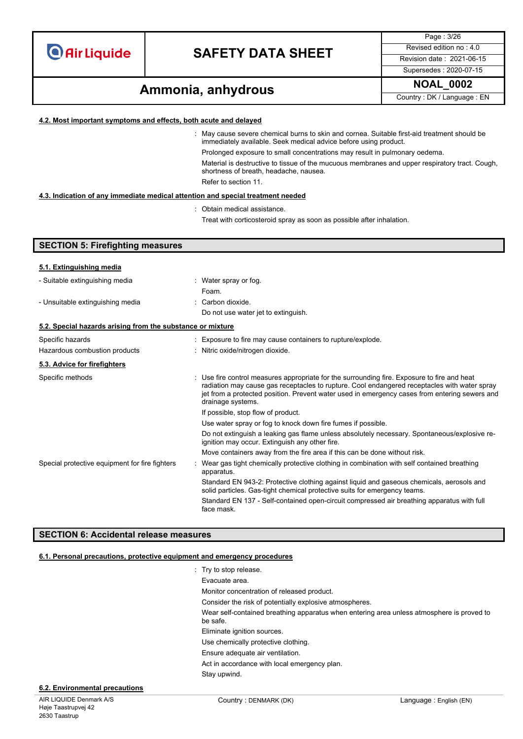### **SAFETY DATA SHEET** Revised edition no : 4.0

Supersedes : 2020-07-15

Page : 3/26

## **Ammonia, anhydrous Ammonia, and Ammonia, and Ammonial Country**: DK / Language : EN

#### **4.2. Most important symptoms and effects, both acute and delayed**

: May cause severe chemical burns to skin and cornea. Suitable first-aid treatment should be immediately available. Seek medical advice before using product. Prolonged exposure to small concentrations may result in pulmonary oedema.

Material is destructive to tissue of the mucuous membranes and upper respiratory tract. Cough, shortness of breath, headache, nausea. Refer to section 11.

#### **4.3. Indication of any immediate medical attention and special treatment needed**

: Obtain medical assistance.

Treat with corticosteroid spray as soon as possible after inhalation.

| <b>SECTION 5: Firefighting measures</b>                    |                                                                                                                                                                                                                                                                                                                   |
|------------------------------------------------------------|-------------------------------------------------------------------------------------------------------------------------------------------------------------------------------------------------------------------------------------------------------------------------------------------------------------------|
|                                                            |                                                                                                                                                                                                                                                                                                                   |
| 5.1. Extinguishing media                                   |                                                                                                                                                                                                                                                                                                                   |
| - Suitable extinguishing media                             | : Water spray or fog.                                                                                                                                                                                                                                                                                             |
|                                                            | Foam.                                                                                                                                                                                                                                                                                                             |
| - Unsuitable extinguishing media                           | : Carbon dioxide.                                                                                                                                                                                                                                                                                                 |
|                                                            | Do not use water jet to extinguish.                                                                                                                                                                                                                                                                               |
| 5.2. Special hazards arising from the substance or mixture |                                                                                                                                                                                                                                                                                                                   |
| Specific hazards                                           | : Exposure to fire may cause containers to rupture/explode.                                                                                                                                                                                                                                                       |
| Hazardous combustion products                              | : Nitric oxide/nitrogen dioxide.                                                                                                                                                                                                                                                                                  |
| 5.3. Advice for firefighters                               |                                                                                                                                                                                                                                                                                                                   |
| Specific methods                                           | : Use fire control measures appropriate for the surrounding fire. Exposure to fire and heat<br>radiation may cause gas receptacles to rupture. Cool endangered receptacles with water spray<br>jet from a protected position. Prevent water used in emergency cases from entering sewers and<br>drainage systems. |
|                                                            | If possible, stop flow of product.                                                                                                                                                                                                                                                                                |
|                                                            | Use water spray or fog to knock down fire fumes if possible.                                                                                                                                                                                                                                                      |
|                                                            | Do not extinguish a leaking gas flame unless absolutely necessary. Spontaneous/explosive re-<br>ignition may occur. Extinguish any other fire.                                                                                                                                                                    |
|                                                            | Move containers away from the fire area if this can be done without risk.                                                                                                                                                                                                                                         |
| Special protective equipment for fire fighters             | Wear gas tight chemically protective clothing in combination with self contained breathing<br>apparatus.                                                                                                                                                                                                          |
|                                                            | Standard EN 943-2: Protective clothing against liquid and gaseous chemicals, aerosols and<br>solid particles. Gas-tight chemical protective suits for emergency teams.                                                                                                                                            |
|                                                            | Standard EN 137 - Self-contained open-circuit compressed air breathing apparatus with full<br>face mask.                                                                                                                                                                                                          |

### **SECTION 6: Accidental release measures**

#### **6.1. Personal precautions, protective equipment and emergency procedures**

| $\therefore$ Try to stop release.                                                                     |
|-------------------------------------------------------------------------------------------------------|
| Evacuate area.                                                                                        |
| Monitor concentration of released product.                                                            |
| Consider the risk of potentially explosive atmospheres.                                               |
| Wear self-contained breathing apparatus when entering area unless atmosphere is proved to<br>be safe. |
| Eliminate ignition sources.                                                                           |
| Use chemically protective clothing.                                                                   |
| Ensure adequate air ventilation.                                                                      |
| Act in accordance with local emergency plan.                                                          |
| Stay upwind.                                                                                          |
|                                                                                                       |

#### **6.2. Environmental precautions**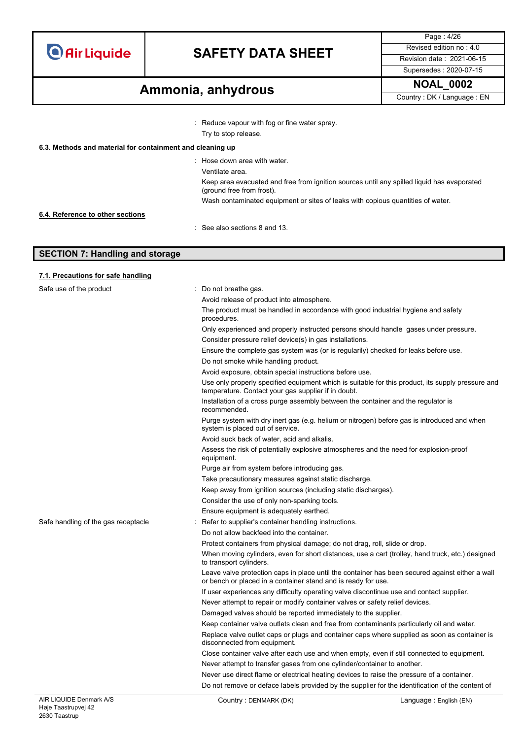## **SAFETY DATA SHEET** Revised edition no : 4.0

Supersedes : 2020-07-15

Page : 4/26

## **Ammonia, anhydrous Ammonia, and Ammonia, and Ammonial Country**: DK / Language : EN

: Reduce vapour with fog or fine water spray. Try to stop release.

|                                  | $:$ Hose down area with water.                                                                                          |
|----------------------------------|-------------------------------------------------------------------------------------------------------------------------|
|                                  | Ventilate area.                                                                                                         |
|                                  | Keep area evacuated and free from ignition sources until any spilled liquid has evaporated<br>(ground free from frost). |
|                                  | Wash contaminated equipment or sites of leaks with copious quantities of water.                                         |
| 6.4. Reference to other sections |                                                                                                                         |
|                                  | $\therefore$ See also sections 8 and 13.                                                                                |

### **SECTION 7: Handling and storage**

| 7.1. Precautions for safe handling |  |  |
|------------------------------------|--|--|
|                                    |  |  |

| Safe use of the product             | Do not breathe gas.                                                                                                                                              |
|-------------------------------------|------------------------------------------------------------------------------------------------------------------------------------------------------------------|
|                                     | Avoid release of product into atmosphere.                                                                                                                        |
|                                     | The product must be handled in accordance with good industrial hygiene and safety<br>procedures.                                                                 |
|                                     | Only experienced and properly instructed persons should handle gases under pressure.                                                                             |
|                                     | Consider pressure relief device(s) in gas installations.                                                                                                         |
|                                     | Ensure the complete gas system was (or is regularily) checked for leaks before use.                                                                              |
|                                     | Do not smoke while handling product.                                                                                                                             |
|                                     | Avoid exposure, obtain special instructions before use.                                                                                                          |
|                                     | Use only properly specified equipment which is suitable for this product, its supply pressure and<br>temperature. Contact your gas supplier if in doubt.         |
|                                     | Installation of a cross purge assembly between the container and the regulator is<br>recommended.                                                                |
|                                     | Purge system with dry inert gas (e.g. helium or nitrogen) before gas is introduced and when<br>system is placed out of service.                                  |
|                                     | Avoid suck back of water, acid and alkalis.                                                                                                                      |
|                                     | Assess the risk of potentially explosive atmospheres and the need for explosion-proof<br>equipment.                                                              |
|                                     | Purge air from system before introducing gas.                                                                                                                    |
|                                     | Take precautionary measures against static discharge.                                                                                                            |
|                                     | Keep away from ignition sources (including static discharges).                                                                                                   |
|                                     | Consider the use of only non-sparking tools.                                                                                                                     |
|                                     | Ensure equipment is adequately earthed.                                                                                                                          |
| Safe handling of the gas receptacle | Refer to supplier's container handling instructions.                                                                                                             |
|                                     | Do not allow backfeed into the container.                                                                                                                        |
|                                     | Protect containers from physical damage; do not drag, roll, slide or drop.                                                                                       |
|                                     | When moving cylinders, even for short distances, use a cart (trolley, hand truck, etc.) designed<br>to transport cylinders.                                      |
|                                     | Leave valve protection caps in place until the container has been secured against either a wall<br>or bench or placed in a container stand and is ready for use. |
|                                     | If user experiences any difficulty operating valve discontinue use and contact supplier.                                                                         |
|                                     | Never attempt to repair or modify container valves or safety relief devices.                                                                                     |
|                                     | Damaged valves should be reported immediately to the supplier.                                                                                                   |
|                                     | Keep container valve outlets clean and free from contaminants particularly oil and water.                                                                        |
|                                     | Replace valve outlet caps or plugs and container caps where supplied as soon as container is<br>disconnected from equipment.                                     |
|                                     | Close container valve after each use and when empty, even if still connected to equipment.                                                                       |
|                                     | Never attempt to transfer gases from one cylinder/container to another.                                                                                          |
|                                     | Never use direct flame or electrical heating devices to raise the pressure of a container.                                                                       |
|                                     | Do not remove or deface labels provided by the supplier for the identification of the content of                                                                 |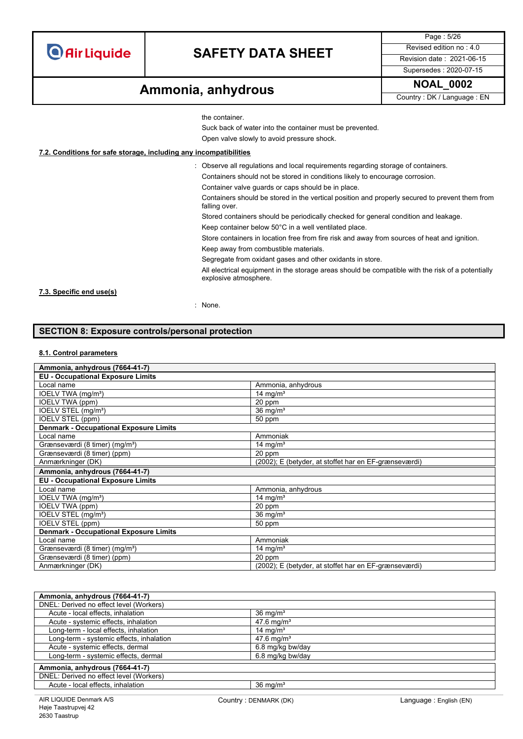### **SAFETY DATA SHEET** Revised edition no : 4.0

Page : 5/26 Supersedes : 2020-07-15

## **Ammonia, anhydrous** MOAL\_0002

the container.

Suck back of water into the container must be prevented.

Open valve slowly to avoid pressure shock.

### **7.2. Conditions for safe storage, including any incompatibilities**

: Observe all regulations and local requirements regarding storage of containers. Containers should not be stored in conditions likely to encourage corrosion.

Container valve guards or caps should be in place.

Containers should be stored in the vertical position and properly secured to prevent them from falling over.

Stored containers should be periodically checked for general condition and leakage.

Keep container below 50°C in a well ventilated place.

Store containers in location free from fire risk and away from sources of heat and ignition.

Keep away from combustible materials.

Segregate from oxidant gases and other oxidants in store.

All electrical equipment in the storage areas should be compatible with the risk of a potentially explosive atmosphere.

### **7.3. Specific end use(s)**

: None.

### **SECTION 8: Exposure controls/personal protection**

#### **8.1. Control parameters**

| Ammonia, anhydrous (7664-41-7)                |                                                       |  |  |  |
|-----------------------------------------------|-------------------------------------------------------|--|--|--|
| <b>EU - Occupational Exposure Limits</b>      |                                                       |  |  |  |
| Local name                                    | Ammonia, anhydrous                                    |  |  |  |
| IOELV TWA (mg/m <sup>3</sup> )                | 14 mg/m <sup>3</sup>                                  |  |  |  |
| IOELV TWA (ppm)                               | 20 ppm                                                |  |  |  |
| IOELV STEL (mg/m <sup>3</sup> )               | $36 \text{ mg/m}^3$                                   |  |  |  |
| IOELV STEL (ppm)                              | 50 ppm                                                |  |  |  |
| <b>Denmark - Occupational Exposure Limits</b> |                                                       |  |  |  |
| Local name                                    | Ammoniak                                              |  |  |  |
| Grænseværdi (8 timer) (mg/m <sup>3</sup> )    | 14 mg/m <sup>3</sup>                                  |  |  |  |
| Grænseværdi (8 timer) (ppm)                   | 20 ppm                                                |  |  |  |
| Anmærkninger (DK)                             | (2002); E (betyder, at stoffet har en EF-grænseværdi) |  |  |  |
| Ammonia, anhydrous (7664-41-7)                |                                                       |  |  |  |
| <b>EU - Occupational Exposure Limits</b>      |                                                       |  |  |  |
| Local name                                    | Ammonia, anhydrous                                    |  |  |  |
| IOELV TWA (mg/m <sup>3</sup> )                | 14 mg/ $m3$                                           |  |  |  |
| <b>IOELV TWA (ppm)</b>                        | 20 ppm                                                |  |  |  |
| IOELV STEL (mg/m <sup>3</sup> )               | $36 \text{ mg/m}^3$                                   |  |  |  |
| IOELV STEL (ppm)                              | 50 ppm                                                |  |  |  |
| <b>Denmark - Occupational Exposure Limits</b> |                                                       |  |  |  |
| Local name                                    | Ammoniak                                              |  |  |  |
| Grænseværdi (8 timer) (mg/m <sup>3</sup> )    | 14 mg/m <sup>3</sup>                                  |  |  |  |
| Grænseværdi (8 timer) (ppm)                   | 20 ppm                                                |  |  |  |
| Anmærkninger (DK)                             | (2002); E (betyder, at stoffet har en EF-grænseværdi) |  |  |  |

| Ammonia, anhydrous (7664-41-7)           |                        |  |  |
|------------------------------------------|------------------------|--|--|
| DNEL: Derived no effect level (Workers)  |                        |  |  |
| Acute - local effects, inhalation        | 36 mg/m <sup>3</sup>   |  |  |
| Acute - systemic effects, inhalation     | 47.6 mg/m <sup>3</sup> |  |  |
| Long-term - local effects, inhalation    | 14 mg/m <sup>3</sup>   |  |  |
| Long-term - systemic effects, inhalation | $47.6 \text{ mg/m}^3$  |  |  |
| Acute - systemic effects, dermal         | 6.8 mg/kg bw/day       |  |  |
| Long-term - systemic effects, dermal     | 6.8 mg/kg bw/day       |  |  |
| Ammonia, anhydrous (7664-41-7)           |                        |  |  |
| DNEL: Derived no effect level (Workers)  |                        |  |  |
| Acute - local effects, inhalation        | $36 \text{ mg/m}^3$    |  |  |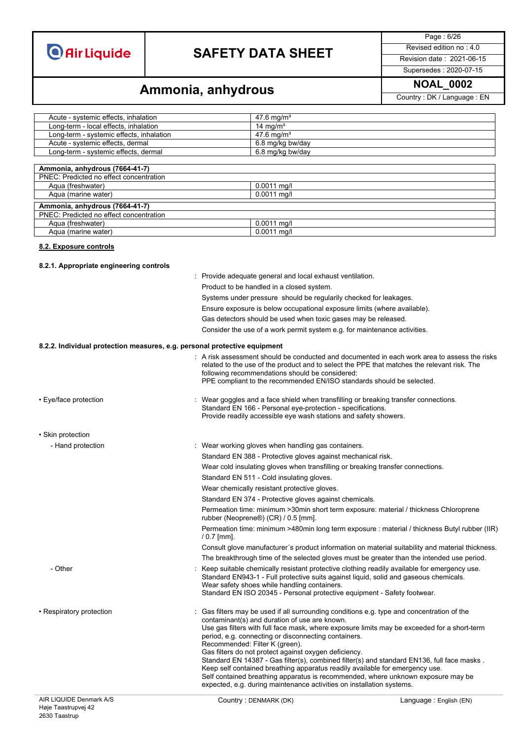## **SAFETY DATA SHEET** Revised edition no : 4.0

Page : 6/26

### Supersedes : 2020-07-15

# **Ammonia, anhydrous Ammonia, and Ammonia, and Ammonia**

| Acute - systemic effects, inhalation     | 47.6 mg/m <sup>3</sup>                                    |
|------------------------------------------|-----------------------------------------------------------|
| Long-term - local effects, inhalation    | 14 mg/m <sup>3</sup>                                      |
| Long-term - systemic effects, inhalation | 47.6 mg/m <sup>3</sup>                                    |
| Acute - systemic effects, dermal         | 6.8 mg/kg bw/day                                          |
| Long-term - systemic effects, dermal     | 6.8 mg/kg bw/day                                          |
|                                          |                                                           |
| Ammonia, anhydrous (7664-41-7)           |                                                           |
| PNEC: Predicted no effect concentration  |                                                           |
| Aqua (freshwater)                        | $0.0011$ mg/l                                             |
| Aqua (marine water)                      | $0.0011$ mg/l                                             |
| Ammonia, anhydrous (7664-41-7)           |                                                           |
| PNEC: Predicted no effect concentration  |                                                           |
| Aqua (freshwater)                        | $0.0011$ mg/l                                             |
| Aqua (marine water)                      | $0.0011$ mg/l                                             |
| 8.2. Exposure controls                   |                                                           |
| 8.2.1. Appropriate engineering controls  |                                                           |
|                                          | : Provide adequate general and local exhaust ventilation. |

|                                                                           | Product to be handled in a closed system.                                                                                                                                                                                                                                                                        |
|---------------------------------------------------------------------------|------------------------------------------------------------------------------------------------------------------------------------------------------------------------------------------------------------------------------------------------------------------------------------------------------------------|
|                                                                           | Systems under pressure should be regularily checked for leakages.                                                                                                                                                                                                                                                |
|                                                                           | Ensure exposure is below occupational exposure limits (where available).                                                                                                                                                                                                                                         |
|                                                                           | Gas detectors should be used when toxic gases may be released.                                                                                                                                                                                                                                                   |
|                                                                           | Consider the use of a work permit system e.g. for maintenance activities.                                                                                                                                                                                                                                        |
|                                                                           |                                                                                                                                                                                                                                                                                                                  |
| 8.2.2. Individual protection measures, e.g. personal protective equipment |                                                                                                                                                                                                                                                                                                                  |
|                                                                           | : A risk assessment should be conducted and documented in each work area to assess the risks<br>related to the use of the product and to select the PPE that matches the relevant risk. The<br>following recommendations should be considered:                                                                   |
|                                                                           | PPE compliant to the recommended EN/ISO standards should be selected.                                                                                                                                                                                                                                            |
| • Eye/face protection                                                     | : Wear goggles and a face shield when transfilling or breaking transfer connections.<br>Standard EN 166 - Personal eye-protection - specifications.<br>Provide readily accessible eye wash stations and safety showers.                                                                                          |
| • Skin protection                                                         |                                                                                                                                                                                                                                                                                                                  |
| - Hand protection                                                         | Wear working gloves when handling gas containers.                                                                                                                                                                                                                                                                |
|                                                                           | Standard EN 388 - Protective gloves against mechanical risk.                                                                                                                                                                                                                                                     |
|                                                                           | Wear cold insulating gloves when transfilling or breaking transfer connections.                                                                                                                                                                                                                                  |
|                                                                           | Standard EN 511 - Cold insulating gloves.                                                                                                                                                                                                                                                                        |
|                                                                           | Wear chemically resistant protective gloves.                                                                                                                                                                                                                                                                     |
|                                                                           | Standard EN 374 - Protective gloves against chemicals.                                                                                                                                                                                                                                                           |
|                                                                           | Permeation time: minimum > 30 min short term exposure: material / thickness Chloroprene<br>rubber (Neoprene®) (CR) / 0.5 [mm].                                                                                                                                                                                   |
|                                                                           | Permeation time: minimum >480min long term exposure : material / thickness Butyl rubber (IIR)<br>$/ 0.7$ [mm].                                                                                                                                                                                                   |
|                                                                           | Consult glove manufacturer's product information on material suitability and material thickness.                                                                                                                                                                                                                 |
|                                                                           | The breakthrough time of the selected gloves must be greater than the intended use period.                                                                                                                                                                                                                       |
| - Other                                                                   | Keep suitable chemically resistant protective clothing readily available for emergency use.<br>Standard EN943-1 - Full protective suits against liquid, solid and gaseous chemicals.<br>Wear safety shoes while handling containers.<br>Standard EN ISO 20345 - Personal protective equipment - Safety footwear. |
| • Respiratory protection                                                  | Gas filters may be used if all surrounding conditions e.g. type and concentration of the<br>contaminant(s) and duration of use are known.<br>Use gas filters with full face mask, where exposure limits may be exceeded for a short-term                                                                         |
|                                                                           | period, e.g. connecting or disconnecting containers.                                                                                                                                                                                                                                                             |
|                                                                           | Recommended: Filter K (green).<br>Gas filters do not protect against oxygen deficiency.                                                                                                                                                                                                                          |
|                                                                           | Standard EN 14387 - Gas filter(s), combined filter(s) and standard EN136, full face masks.                                                                                                                                                                                                                       |
|                                                                           | Keep self contained breathing apparatus readily available for emergency use.<br>Self contained breathing apparatus is recommended, where unknown exposure may be<br>expected, e.g. during maintenance activities on installation systems.                                                                        |
|                                                                           |                                                                                                                                                                                                                                                                                                                  |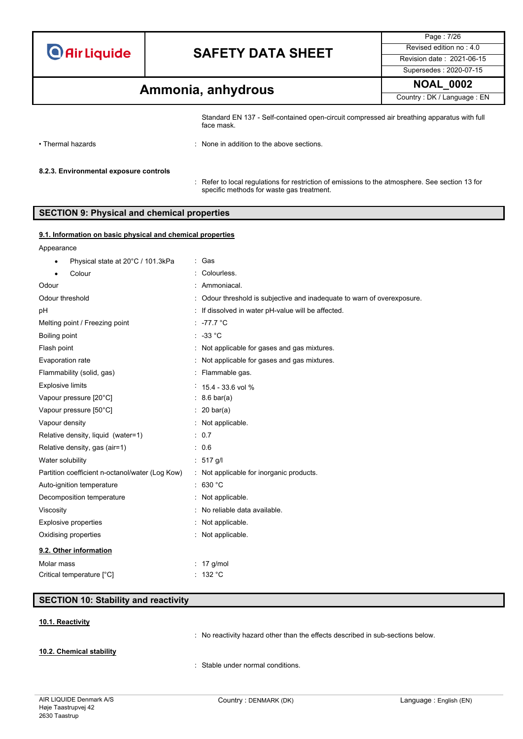## **SAFETY DATA SHEET** Revised edition no : 4.0

Page : 7/26 Supersedes : 2020-07-15

## **Ammonia, anhydrous Ammonia, and Ammonia, and Ammonial Country**: DK / Language : EN

Standard EN 137 - Self-contained open-circuit compressed air breathing apparatus with full face mask. • Thermal hazards : None in addition to the above sections. **8.2.3. Environmental exposure controls**

> : Refer to local regulations for restriction of emissions to the atmosphere. See section 13 for specific methods for waste gas treatment.

### **SECTION 9: Physical and chemical properties**

### **9.1. Information on basic physical and chemical properties**

| Physical state at 20°C / 101.3kPa<br>٠          | : Gas                                                                   |
|-------------------------------------------------|-------------------------------------------------------------------------|
| Colour                                          | : Colourless.                                                           |
| Odour                                           | : Ammoniacal.                                                           |
| Odour threshold                                 | : Odour threshold is subjective and inadequate to warn of overexposure. |
| pH                                              | : If dissolved in water pH-value will be affected.                      |
| Melting point / Freezing point                  | $: -77.7 °C$                                                            |
| Boiling point                                   | $: -33 °C$                                                              |
| Flash point                                     | : Not applicable for gases and gas mixtures.                            |
| Evaporation rate                                | : Not applicable for gases and gas mixtures.                            |
| Flammability (solid, gas)                       | : Flammable gas.                                                        |
| <b>Explosive limits</b>                         | $15.4 - 33.6$ vol %                                                     |
| Vapour pressure [20°C]                          | $: 8.6 \text{ bar(a)}$                                                  |
| Vapour pressure [50°C]                          | $: 20 \text{ bar(a)}$                                                   |
| Vapour density                                  | : Not applicable.                                                       |
| Relative density, liquid (water=1)              | : 0.7                                                                   |
| Relative density, gas (air=1)                   | : 0.6                                                                   |
| Water solubility                                | : $517$ g/l                                                             |
| Partition coefficient n-octanol/water (Log Kow) | : Not applicable for inorganic products.                                |
| Auto-ignition temperature                       | : 630 °C                                                                |
| Decomposition temperature                       | : Not applicable.                                                       |
| Viscosity                                       | : No reliable data available.                                           |
| <b>Explosive properties</b>                     | : Not applicable.                                                       |
| Oxidising properties                            | : Not applicable.                                                       |
| 9.2. Other information                          |                                                                         |
| Molar mass                                      | $: 17$ g/mol                                                            |
| Critical temperature [°C]                       | : 132 °C                                                                |

### **SECTION 10: Stability and reactivity**

#### **10.1. Reactivity**

: No reactivity hazard other than the effects described in sub-sections below.

### **10.2. Chemical stability**

: Stable under normal conditions.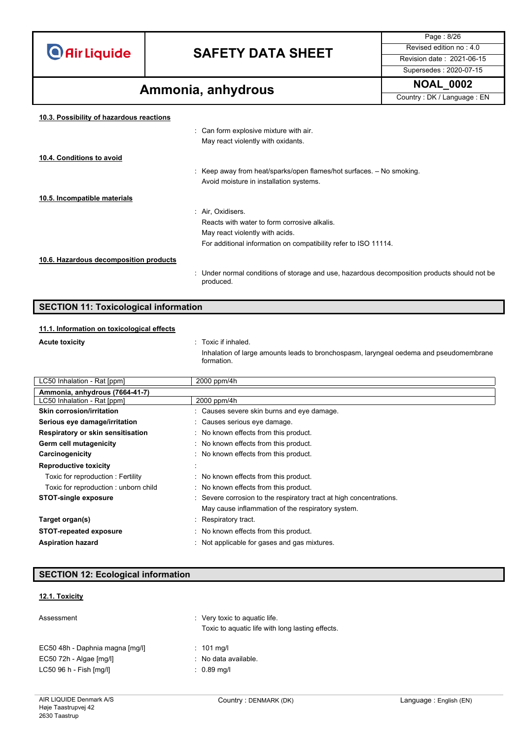## **SAFETY DATA SHEET** Revised edition no : 4.0

Supersedes : 2020-07-15

Page : 8/26

## **Ammonia, anhydrous Ammonia, and Ammonia, and Ammonial Country**: DK / Language : EN

| 10.3. Possibility of hazardous reactions |                                                                                                           |
|------------------------------------------|-----------------------------------------------------------------------------------------------------------|
|                                          | : Can form explosive mixture with air.                                                                    |
|                                          | May react violently with oxidants.                                                                        |
| 10.4. Conditions to avoid                |                                                                                                           |
|                                          | : Keep away from heat/sparks/open flames/hot surfaces. $-$ No smoking.                                    |
|                                          | Avoid moisture in installation systems.                                                                   |
| 10.5. Incompatible materials             |                                                                                                           |
|                                          | : Air, Oxidisers.                                                                                         |
|                                          | Reacts with water to form corrosive alkalis.                                                              |
|                                          | May react violently with acids.                                                                           |
|                                          | For additional information on compatibility refer to ISO 11114.                                           |
| 10.6. Hazardous decomposition products   |                                                                                                           |
|                                          | : Under normal conditions of storage and use, hazardous decomposition products should not be<br>produced. |
|                                          |                                                                                                           |

### **SECTION 11: Toxicological information**

### **11.1. Information on toxicological effects**

**Acute toxicity in the contract of the contract of the contract of the contract of the contract of the contract of the contract of the contract of the contract of the contract of the contract of the contract of the contr** 

Inhalation of large amounts leads to bronchospasm, laryngeal oedema and pseudomembrane formation.

| LC50 Inhalation - Rat [ppm]          | 2000 ppm/4h                                                         |  |
|--------------------------------------|---------------------------------------------------------------------|--|
| Ammonia, anhydrous (7664-41-7)       |                                                                     |  |
| LC50 Inhalation - Rat [ppm]          | 2000 ppm/4h                                                         |  |
| <b>Skin corrosion/irritation</b>     | : Causes severe skin burns and eye damage.                          |  |
| Serious eye damage/irritation        | : Causes serious eye damage.                                        |  |
| Respiratory or skin sensitisation    | : No known effects from this product.                               |  |
| Germ cell mutagenicity               | : No known effects from this product.                               |  |
| Carcinogenicity                      | : No known effects from this product.                               |  |
| <b>Reproductive toxicity</b>         |                                                                     |  |
| Toxic for reproduction: Fertility    | : No known effects from this product.                               |  |
| Toxic for reproduction: unborn child | : No known effects from this product.                               |  |
| <b>STOT-single exposure</b>          | : Severe corrosion to the respiratory tract at high concentrations. |  |
|                                      | May cause inflammation of the respiratory system.                   |  |
| Target organ(s)                      | : Respiratory tract.                                                |  |
| <b>STOT-repeated exposure</b>        | : No known effects from this product.                               |  |
| <b>Aspiration hazard</b>             | : Not applicable for gases and gas mixtures.                        |  |

### **SECTION 12: Ecological information**

### **12.1. Toxicity**

| Assessment                      | $\therefore$ Very toxic to aquatic life.<br>Toxic to aquatic life with long lasting effects. |  |
|---------------------------------|----------------------------------------------------------------------------------------------|--|
| EC50 48h - Daphnia magna [mg/l] | $: 101 \text{ mg/l}$                                                                         |  |
| $EC50$ 72h - Algae $[mq/l]$     | : No data available.                                                                         |  |
| LC50 96 h - Fish [mg/l]         | $: 0.89$ mg/l                                                                                |  |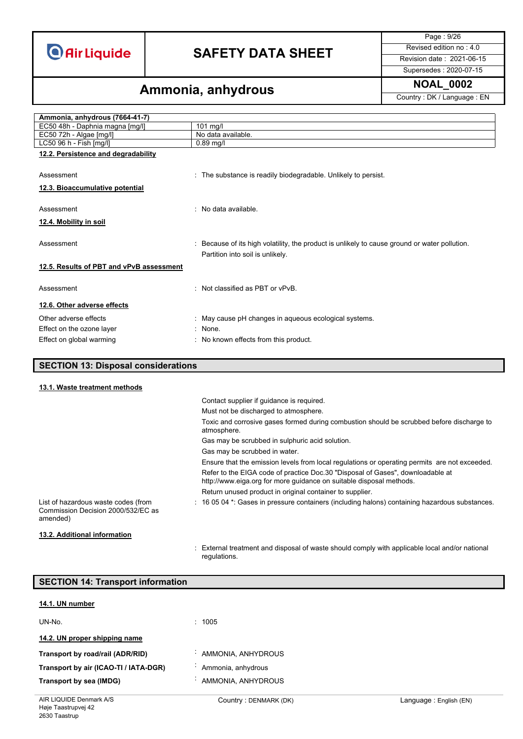## **SAFETY DATA SHEET** Revised edition no : 4.0

Page : 9/26

Supersedes : 2020-07-15

## **Ammonia, anhydrous Ammonia, and Ammonia, and Ammonial Country**: DK / Language : EN

| Ammonia, anhydrous (7664-41-7)           |                                                                                               |
|------------------------------------------|-----------------------------------------------------------------------------------------------|
| EC50 48h - Daphnia magna [mg/l]          | $101$ mg/l                                                                                    |
| $EC50$ 72h - Algae $[mg/l]$              | No data available.                                                                            |
| LC50 96 h - Fish [mg/l]                  | $0.89$ mg/l                                                                                   |
| 12.2. Persistence and degradability      |                                                                                               |
|                                          |                                                                                               |
| Assessment                               | : The substance is readily biodegradable. Unlikely to persist.                                |
| 12.3. Bioaccumulative potential          |                                                                                               |
|                                          |                                                                                               |
| Assessment                               | . No data available                                                                           |
| <u>12.4. Mobility in soil</u>            |                                                                                               |
|                                          |                                                                                               |
| Assessment                               | : Because of its high volatility, the product is unlikely to cause ground or water pollution. |
|                                          | Partition into soil is unlikely.                                                              |
| 12.5. Results of PBT and vPvB assessment |                                                                                               |
|                                          |                                                                                               |
| Assessment                               | : Not classified as PBT or vPvB.                                                              |
|                                          |                                                                                               |
| 12.6. Other adverse effects              |                                                                                               |
| Other adverse effects                    | : May cause pH changes in aqueous ecological systems.                                         |
| Effect on the ozone layer                | $:$ None.                                                                                     |
| Effect on global warming                 | : No known effects from this product.                                                         |
|                                          |                                                                                               |

### **SECTION 13: Disposal considerations**

### **13.1. Waste treatment methods**

|                                                                                       | Contact supplier if guidance is required.                                                                                                             |
|---------------------------------------------------------------------------------------|-------------------------------------------------------------------------------------------------------------------------------------------------------|
|                                                                                       | Must not be discharged to atmosphere.                                                                                                                 |
|                                                                                       | Toxic and corrosive gases formed during combustion should be scrubbed before discharge to<br>atmosphere.                                              |
|                                                                                       | Gas may be scrubbed in sulphuric acid solution.                                                                                                       |
|                                                                                       | Gas may be scrubbed in water.                                                                                                                         |
|                                                                                       | Ensure that the emission levels from local regulations or operating permits are not exceeded.                                                         |
|                                                                                       | Refer to the EIGA code of practice Doc.30 "Disposal of Gases", downloadable at<br>http://www.eiga.org for more guidance on suitable disposal methods. |
|                                                                                       | Return unused product in original container to supplier.                                                                                              |
| List of hazardous waste codes (from<br>Commission Decision 2000/532/EC as<br>amended) | $\pm$ 16 05 04 $^{\star}$ . Gases in pressure containers (including halons) containing hazardous substances.                                          |
| 13.2. Additional information                                                          |                                                                                                                                                       |

#### : External treatment and disposal of waste should comply with applicable local and/or national regulations.

| <b>SECTION 14: Transport information</b> |                       |                        |
|------------------------------------------|-----------------------|------------------------|
| 14.1. UN number                          |                       |                        |
| UN-No.                                   | : 1005                |                        |
| 14.2. UN proper shipping name            |                       |                        |
| Transport by road/rail (ADR/RID)         | AMMONIA, ANHYDROUS    |                        |
| Transport by air (ICAO-TI / IATA-DGR)    | Ammonia, anhydrous    |                        |
| Transport by sea (IMDG)                  | AMMONIA, ANHYDROUS    |                        |
| AIR LIQUIDE Denmark A/S                  | Country: DENMARK (DK) | Language: English (EN) |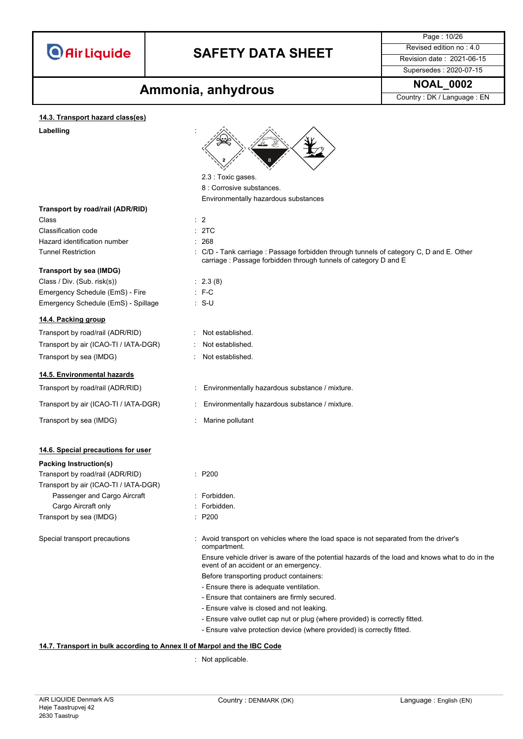

### **SAFETY DATA SHEET** Revised edition no : 4.0

Page : 10/26

Supersedes : 2020-07-15

## **Ammonia, anhydrous** MOAL\_0002

#### **14.3. Transport hazard class(es)**

#### Labelling



8 : Corrosive substances. Environmentally hazardous substances

carriage : Passage forbidden through tunnels of category D and E

**Transport by road/rail (ADR/RID)**

Class : 2 Classification code : 2TC Hazard identification number : 268 Tunnel Restriction : C/D - Tank carriage : Passage forbidden through tunnels of category C, D and E. Other

### **Transport by sea (IMDG)**

Class / Div. (Sub. risk(s)) : 2.3 (8) Emergency Schedule (EmS) - Fire : F-C Emergency Schedule (EmS) - Spillage : S-U

### **14.4. Packing group**

| Transport by road/rail (ADR/RID)      |
|---------------------------------------|
| Transport by air (ICAO-TI / IATA-DGR) |
| Transport by sea (IMDG)               |

### **14.5. Environmental hazards**

Transport by sea (IMDG) **in the set of the COV** Marine pollutant

### **14.6. Special precautions for user**

#### **Packing Instruction(s)**

Transport by road/rail (ADR/RID) : P200 Transport by air (ICAO-TI / IATA-DGR) Passenger and Cargo Aircraft : Forbidden. Cargo Aircraft only **Example 20** Section 2011 : Forbidden. Transport by sea (IMDG) : P200

#### : Not established.

- Not established.
- : Not established.

Transport by road/rail (ADR/RID) : Environmentally hazardous substance / mixture.

- Transport by air (ICAO-TI / IATA-DGR) : Environmentally hazardous substance / mixture.
	-
	-
	-
	-
	-

Special transport precautions : Avoid transport on vehicles where the load space is not separated from the driver's compartment.

> Ensure vehicle driver is aware of the potential hazards of the load and knows what to do in the event of an accident or an emergency.

Before transporting product containers:

- Ensure there is adequate ventilation.
- Ensure that containers are firmly secured.
- Ensure valve is closed and not leaking.
- Ensure valve outlet cap nut or plug (where provided) is correctly fitted.
- Ensure valve protection device (where provided) is correctly fitted.

#### **14.7. Transport in bulk according to Annex II of Marpol and the IBC Code**

: Not applicable.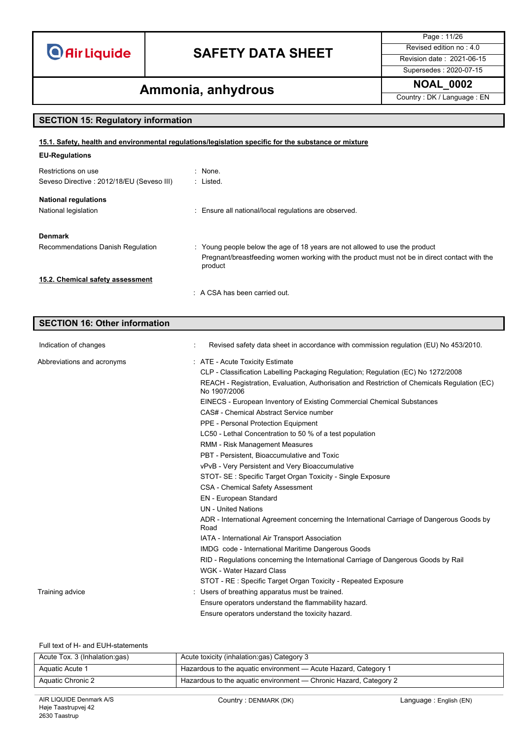## **SAFETY DATA SHEET** Revised edition no : 4.0

Page : 11/26

### Supersedes : 2020-07-15

## **Ammonia, anhydrous Ammonia, and Ammonia, and Ammonial Property:** DK / Language : EN

### **SECTION 15: Regulatory information**

| 15.1. Safety, health and environmental regulations/legislation specific for the substance or mixture |  |
|------------------------------------------------------------------------------------------------------|--|
|                                                                                                      |  |

| <b>EU-Regulations</b>                      |                                                                                                         |
|--------------------------------------------|---------------------------------------------------------------------------------------------------------|
| Restrictions on use                        | : None.                                                                                                 |
| Seveso Directive : 2012/18/EU (Seveso III) | : Listed.                                                                                               |
| <b>National regulations</b>                |                                                                                                         |
| National legislation                       | : Ensure all national/local regulations are observed.                                                   |
| <b>Denmark</b>                             |                                                                                                         |
| Recommendations Danish Regulation          | : Young people below the age of 18 years are not allowed to use the product                             |
|                                            | Pregnant/breastfeeding women working with the product must not be in direct contact with the<br>product |
| 15.2. Chemical safety assessment           |                                                                                                         |
|                                            | $\therefore$ A CSA has been carried out.                                                                |

### **SECTION 16: Other information**

| Indication of changes      | Revised safety data sheet in accordance with commission regulation (EU) No 453/2010.                         |
|----------------------------|--------------------------------------------------------------------------------------------------------------|
| Abbreviations and acronyms | : ATE - Acute Toxicity Estimate                                                                              |
|                            | CLP - Classification Labelling Packaging Regulation; Regulation (EC) No 1272/2008                            |
|                            | REACH - Registration, Evaluation, Authorisation and Restriction of Chemicals Regulation (EC)<br>No 1907/2006 |
|                            | EINECS - European Inventory of Existing Commercial Chemical Substances                                       |
|                            | CAS# - Chemical Abstract Service number                                                                      |
|                            | PPE - Personal Protection Equipment                                                                          |
|                            | LC50 - Lethal Concentration to 50 % of a test population                                                     |
|                            | RMM - Risk Management Measures                                                                               |
|                            | PBT - Persistent. Bioaccumulative and Toxic                                                                  |
|                            | vPvB - Very Persistent and Very Bioaccumulative                                                              |
|                            | STOT- SE: Specific Target Organ Toxicity - Single Exposure                                                   |
|                            | <b>CSA - Chemical Safety Assessment</b>                                                                      |
|                            | EN - European Standard                                                                                       |
|                            | <b>UN</b> - United Nations                                                                                   |
|                            | ADR - International Agreement concerning the International Carriage of Dangerous Goods by<br>Road            |
|                            | IATA - International Air Transport Association                                                               |
|                            | IMDG code - International Maritime Dangerous Goods                                                           |
|                            | RID - Regulations concerning the International Carriage of Dangerous Goods by Rail                           |
|                            | <b>WGK - Water Hazard Class</b>                                                                              |
|                            | STOT - RE : Specific Target Organ Toxicity - Repeated Exposure                                               |
| Training advice            | Users of breathing apparatus must be trained.                                                                |
|                            | Ensure operators understand the flammability hazard.                                                         |
|                            | Ensure operators understand the toxicity hazard.                                                             |

Full text of H- and EUH-statements

| Acute Tox. 3 (Inhalation:gas) | Acute toxicity (inhalation:gas) Category 3                        |
|-------------------------------|-------------------------------------------------------------------|
| Aquatic Acute 1               | Hazardous to the aquatic environment - Acute Hazard, Category 1   |
| Aquatic Chronic 2             | Hazardous to the aquatic environment — Chronic Hazard, Category 2 |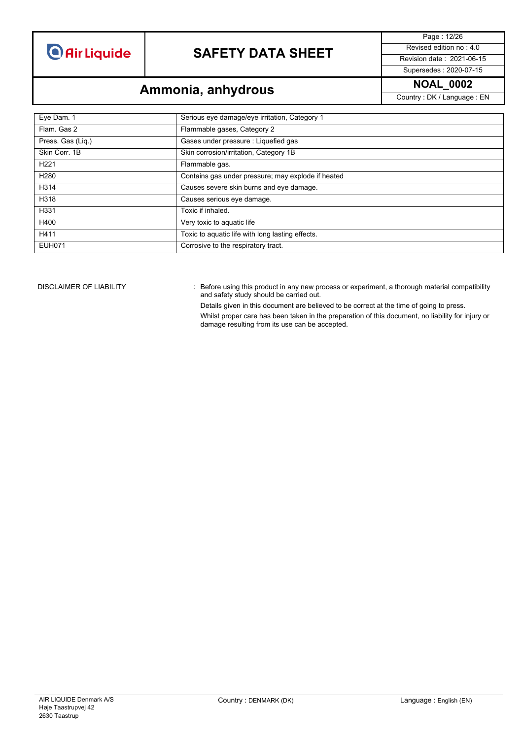## **SAFETY DATA SHEET** Revised edition no : 4.0

Page : 12/26 Supersedes : 2020-07-15

**Ammonia, anhydrous Ammonia, and Ammonia, and Ammonial Country**: DK / Language : EN

| Eye Dam. 1        | Serious eye damage/eye irritation, Category 1      |
|-------------------|----------------------------------------------------|
| Flam, Gas 2       | Flammable gases, Category 2                        |
| Press. Gas (Liq.) | Gases under pressure : Liquefied gas               |
| Skin Corr. 1B     | Skin corrosion/irritation, Category 1B             |
| H <sub>221</sub>  | Flammable gas.                                     |
| H <sub>280</sub>  | Contains gas under pressure; may explode if heated |
| H314              | Causes severe skin burns and eye damage.           |
| H318              | Causes serious eye damage.                         |
| H331              | Toxic if inhaled.                                  |
| H400              | Very toxic to aquatic life                         |
| H411              | Toxic to aquatic life with long lasting effects.   |
| <b>EUH071</b>     | Corrosive to the respiratory tract.                |

DISCLAIMER OF LIABILITY : Before using this product in any new process or experiment, a thorough material compatibility and safety study should be carried out.

Details given in this document are believed to be correct at the time of going to press.

Whilst proper care has been taken in the preparation of this document, no liability for injury or damage resulting from its use can be accepted.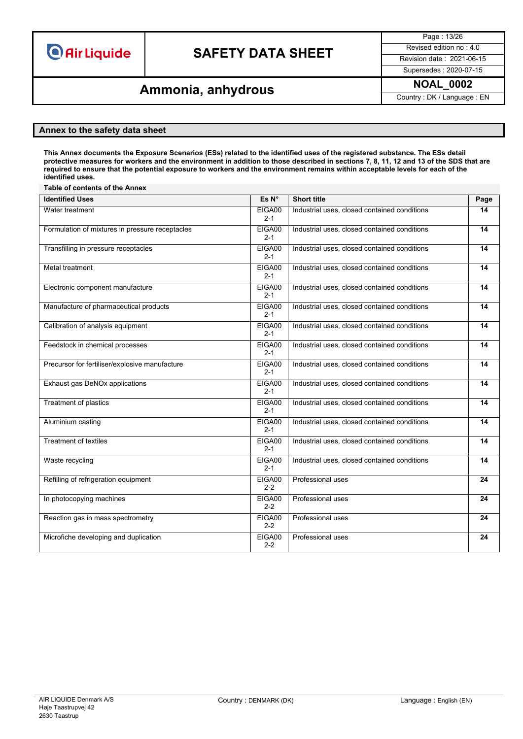## **SAFETY DATA SHEET** Revised edition no : 4.0

Page : 13/26

Supersedes : 2020-07-15

## **Ammonia, anhydrous Ammonia, and Ammonia, and Ammonial Country**: DK / Language : EN

### **Annex to the safety data sheet**

This Annex documents the Exposure Scenarios (ESs) related to the identified uses of the registered substance. The ESs detail protective measures for workers and the environment in addition to those described in sections 7, 8, 11, 12 and 13 of the SDS that are required to ensure that the potential exposure to workers and the environment remains within acceptable levels for each of the **identified uses.**

| Table of contents of the Annex                  |                   |                                              |      |  |
|-------------------------------------------------|-------------------|----------------------------------------------|------|--|
| <b>Identified Uses</b>                          | Es N°             | <b>Short title</b>                           | Page |  |
| Water treatment                                 | EIGA00<br>$2 - 1$ | Industrial uses, closed contained conditions | 14   |  |
| Formulation of mixtures in pressure receptacles | EIGA00<br>$2 - 1$ | Industrial uses, closed contained conditions | 14   |  |
| Transfilling in pressure receptacles            | EIGA00<br>$2 - 1$ | Industrial uses, closed contained conditions | 14   |  |
| Metal treatment                                 | EIGA00<br>$2 - 1$ | Industrial uses, closed contained conditions | 14   |  |
| Electronic component manufacture                | EIGA00<br>$2 - 1$ | Industrial uses, closed contained conditions | 14   |  |
| Manufacture of pharmaceutical products          | EIGA00<br>$2 - 1$ | Industrial uses, closed contained conditions | 14   |  |
| Calibration of analysis equipment               | EIGA00<br>$2 - 1$ | Industrial uses, closed contained conditions | 14   |  |
| Feedstock in chemical processes                 | EIGA00<br>$2 - 1$ | Industrial uses, closed contained conditions | 14   |  |
| Precursor for fertiliser/explosive manufacture  | EIGA00<br>$2 - 1$ | Industrial uses, closed contained conditions | 14   |  |
| Exhaust gas DeNOx applications                  | EIGA00<br>$2 - 1$ | Industrial uses, closed contained conditions | 14   |  |
| <b>Treatment of plastics</b>                    | EIGA00<br>$2 - 1$ | Industrial uses, closed contained conditions | 14   |  |
| Aluminium casting                               | EIGA00<br>$2 - 1$ | Industrial uses, closed contained conditions | 14   |  |
| Treatment of textiles                           | EIGA00<br>$2 - 1$ | Industrial uses, closed contained conditions | 14   |  |
| Waste recycling                                 | EIGA00<br>$2 - 1$ | Industrial uses, closed contained conditions | 14   |  |
| Refilling of refrigeration equipment            | EIGA00<br>$2 - 2$ | <b>Professional uses</b>                     | 24   |  |
| In photocopying machines                        | EIGA00<br>$2 - 2$ | Professional uses                            | 24   |  |
| Reaction gas in mass spectrometry               | EIGA00<br>$2 - 2$ | Professional uses                            | 24   |  |
| Microfiche developing and duplication           | EIGA00<br>$2 - 2$ | Professional uses                            | 24   |  |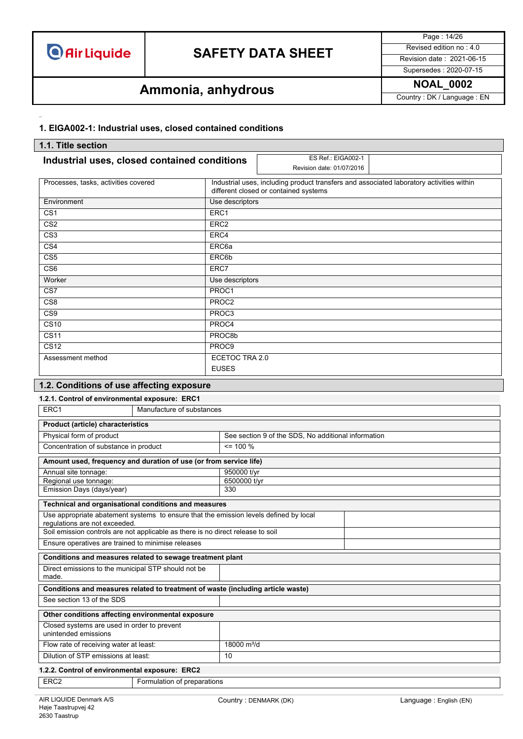## **SAFETY DATA SHEET** Revised edition no : 4.0

Page : 14/26 Supersedes : 2020-07-15

## **Ammonia, anhydrous Ammonia, and Ammonia, and Ammonial Country**: DK / Language : EN

### **1. EIGA002-1: Industrial uses, closed contained conditions**

| 1.1. Title section                                                                                                     |                   |                                                                                                                                   |  |
|------------------------------------------------------------------------------------------------------------------------|-------------------|-----------------------------------------------------------------------------------------------------------------------------------|--|
| Industrial uses, closed contained conditions                                                                           |                   | ES Ref.: EIGA002-1<br>Revision date: 01/07/2016                                                                                   |  |
| Processes, tasks, activities covered                                                                                   |                   | Industrial uses, including product transfers and associated laboratory activities within<br>different closed or contained systems |  |
| Environment                                                                                                            | Use descriptors   |                                                                                                                                   |  |
| $\overline{\text{CS1}}$                                                                                                | ERC1              |                                                                                                                                   |  |
| CS <sub>2</sub>                                                                                                        | ERC <sub>2</sub>  |                                                                                                                                   |  |
| $\overline{\text{CS3}}$                                                                                                | ERC4              |                                                                                                                                   |  |
| $\overline{\text{CS4}}$                                                                                                | ERC <sub>6a</sub> |                                                                                                                                   |  |
| CS <sub>5</sub>                                                                                                        | ERC6b             |                                                                                                                                   |  |
| $\overline{\text{CS6}}$                                                                                                | ERC7              |                                                                                                                                   |  |
| Worker                                                                                                                 | Use descriptors   |                                                                                                                                   |  |
| CS7                                                                                                                    | PROC1             |                                                                                                                                   |  |
| CS <sub>8</sub>                                                                                                        | PROC <sub>2</sub> |                                                                                                                                   |  |
| CS <sub>9</sub>                                                                                                        | PROC3             |                                                                                                                                   |  |
| $\overline{\text{CS}10}$                                                                                               | PROC4             |                                                                                                                                   |  |
| $\overline{CS11}$<br>PROC8b                                                                                            |                   |                                                                                                                                   |  |
| <b>CS12</b>                                                                                                            | PROC <sub>9</sub> |                                                                                                                                   |  |
| ECETOC TRA 2.0<br>Assessment method                                                                                    |                   |                                                                                                                                   |  |
|                                                                                                                        | <b>EUSES</b>      |                                                                                                                                   |  |
| 1.2. Conditions of use affecting exposure                                                                              |                   |                                                                                                                                   |  |
| 1.2.1. Control of environmental exposure: ERC1                                                                         |                   |                                                                                                                                   |  |
| ERC1<br>Manufacture of substances                                                                                      |                   |                                                                                                                                   |  |
| <b>Product (article) characteristics</b>                                                                               |                   |                                                                                                                                   |  |
| Physical form of product                                                                                               |                   | See section 9 of the SDS, No additional information                                                                               |  |
| Concentration of substance in product                                                                                  | $= 100 \%$        |                                                                                                                                   |  |
| Amount used, frequency and duration of use (or from service life)                                                      |                   |                                                                                                                                   |  |
| 950000 t/yr<br>Annual site tonnage:                                                                                    |                   |                                                                                                                                   |  |
| Regional use tonnage:                                                                                                  |                   | 6500000 t/yr<br>330                                                                                                               |  |
| Emission Days (days/year)                                                                                              |                   |                                                                                                                                   |  |
| Technical and organisational conditions and measures                                                                   |                   |                                                                                                                                   |  |
| Use appropriate abatement systems to ensure that the emission levels defined by local<br>regulations are not exceeded. |                   |                                                                                                                                   |  |
| Soil emission controls are not applicable as there is no direct release to soil                                        |                   |                                                                                                                                   |  |
| Ensure operatives are trained to minimise releases                                                                     |                   |                                                                                                                                   |  |

### Direct emissions to the municipal STP should not be made. **Conditions and measures related to treatment of waste (including article waste)** See section 13 of the SDS **Other conditions affecting environmental exposure** Closed systems are used in order to prevent unintended emissions Flow rate of receiving water at least: 18000 m<sup>3</sup>/d Dilution of STP emissions at least: 10

### **1.2.2. Control of environmental exposure: ERC2**

**Conditions and measures related to sewage treatment plant**

ERC2 Formulation of preparations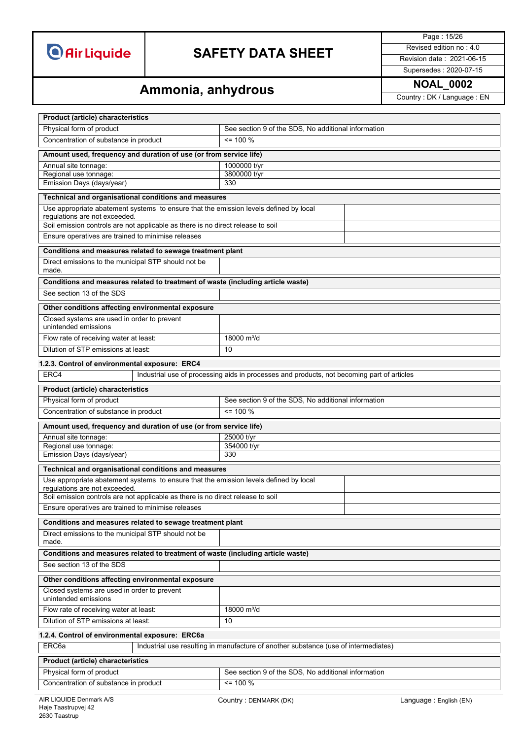## **SAFETY DATA SHEET** Revised edition no : 4.0

Page : 15/26

### Supersedes : 2020-07-15

# **Ammonia, anhydrous Ammonia, and Ammonia**

| <b>Product (article) characteristics</b>                                                                               |                                                                                            |  |  |  |
|------------------------------------------------------------------------------------------------------------------------|--------------------------------------------------------------------------------------------|--|--|--|
| Physical form of product                                                                                               | See section 9 of the SDS, No additional information                                        |  |  |  |
| Concentration of substance in product                                                                                  | $= 100 %$                                                                                  |  |  |  |
| Amount used, frequency and duration of use (or from service life)                                                      |                                                                                            |  |  |  |
| Annual site tonnage:                                                                                                   | 1000000 t/yr                                                                               |  |  |  |
| Regional use tonnage:                                                                                                  | 3800000 t/yr<br>330                                                                        |  |  |  |
| Emission Days (days/year)                                                                                              |                                                                                            |  |  |  |
| Technical and organisational conditions and measures                                                                   |                                                                                            |  |  |  |
| Use appropriate abatement systems to ensure that the emission levels defined by local<br>regulations are not exceeded. |                                                                                            |  |  |  |
| Soil emission controls are not applicable as there is no direct release to soil                                        |                                                                                            |  |  |  |
| Ensure operatives are trained to minimise releases                                                                     |                                                                                            |  |  |  |
| Conditions and measures related to sewage treatment plant                                                              |                                                                                            |  |  |  |
| Direct emissions to the municipal STP should not be<br>made.                                                           |                                                                                            |  |  |  |
| Conditions and measures related to treatment of waste (including article waste)                                        |                                                                                            |  |  |  |
| See section 13 of the SDS                                                                                              |                                                                                            |  |  |  |
| Other conditions affecting environmental exposure                                                                      |                                                                                            |  |  |  |
| Closed systems are used in order to prevent<br>unintended emissions                                                    |                                                                                            |  |  |  |
| Flow rate of receiving water at least:                                                                                 | 18000 m <sup>3</sup> /d                                                                    |  |  |  |
| Dilution of STP emissions at least:                                                                                    | 10                                                                                         |  |  |  |
| 1.2.3. Control of environmental exposure: ERC4                                                                         |                                                                                            |  |  |  |
| ERC4                                                                                                                   | Industrial use of processing aids in processes and products, not becoming part of articles |  |  |  |
| <b>Product (article) characteristics</b>                                                                               |                                                                                            |  |  |  |
| Physical form of product                                                                                               | See section 9 of the SDS, No additional information                                        |  |  |  |
| Concentration of substance in product<br>$= 100 %$                                                                     |                                                                                            |  |  |  |
| Amount used, frequency and duration of use (or from service life)                                                      |                                                                                            |  |  |  |
| Annual site tonnage:                                                                                                   | 25000 t/yr                                                                                 |  |  |  |
| Regional use tonnage:                                                                                                  | 354000 t/yr                                                                                |  |  |  |
| Emission Days (days/year)                                                                                              | 330                                                                                        |  |  |  |
| Technical and organisational conditions and measures                                                                   |                                                                                            |  |  |  |
| Use appropriate abatement systems to ensure that the emission levels defined by local<br>requlations are not exceeded. |                                                                                            |  |  |  |
| Soil emission controls are not applicable as there is no direct release to soil                                        |                                                                                            |  |  |  |
| Ensure operatives are trained to minimise releases                                                                     |                                                                                            |  |  |  |
| Conditions and measures related to sewage treatment plant                                                              |                                                                                            |  |  |  |
| Direct emissions to the municipal STP should not be<br>made.                                                           |                                                                                            |  |  |  |
| Conditions and measures related to treatment of waste (including article waste)                                        |                                                                                            |  |  |  |
| See section 13 of the SDS                                                                                              |                                                                                            |  |  |  |
| Other conditions affecting environmental exposure                                                                      |                                                                                            |  |  |  |
| Closed systems are used in order to prevent<br>unintended emissions                                                    |                                                                                            |  |  |  |
| Flow rate of receiving water at least:                                                                                 | 18000 m <sup>3</sup> /d                                                                    |  |  |  |
| Dilution of STP emissions at least:                                                                                    | 10                                                                                         |  |  |  |
| 1.2.4. Control of environmental exposure: ERC6a                                                                        |                                                                                            |  |  |  |
| ERC6a<br>Industrial use resulting in manufacture of another substance (use of intermediates)                           |                                                                                            |  |  |  |
| <b>Product (article) characteristics</b>                                                                               |                                                                                            |  |  |  |
| Physical form of product                                                                                               | See section 9 of the SDS, No additional information                                        |  |  |  |
| Concentration of substance in product                                                                                  | $= 100 %$                                                                                  |  |  |  |
| AIR LIQUIDE Denmark A/S                                                                                                | Language: English (EN)<br>Country: DENMARK (DK)                                            |  |  |  |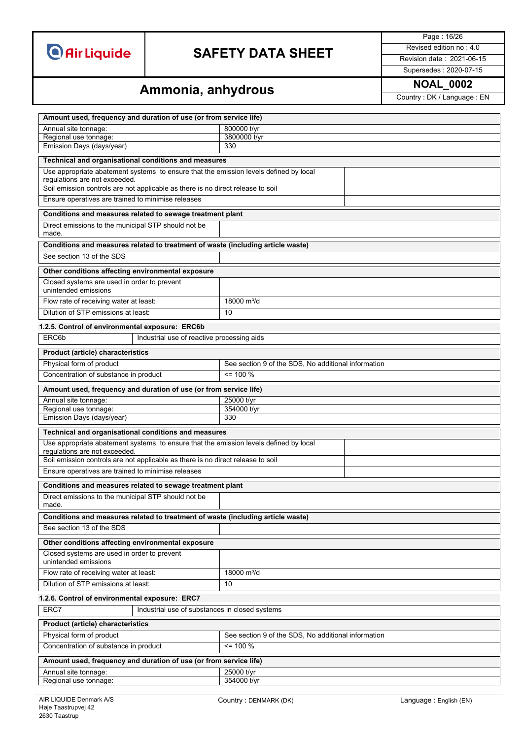

## **SAFETY DATA SHEET** Revised edition no : 4.0

Page : 16/26

Supersedes : 2020-07-15

# **Ammonia, anhydrous Ammonia, and Ammonia**

| Amount used, frequency and duration of use (or from service life)                                                      |                                                     |                                                     |  |  |
|------------------------------------------------------------------------------------------------------------------------|-----------------------------------------------------|-----------------------------------------------------|--|--|
| Annual site tonnage:                                                                                                   |                                                     | 800000 t/yr                                         |  |  |
| Regional use tonnage:                                                                                                  |                                                     | 3800000 t/yr                                        |  |  |
| Emission Days (days/year)                                                                                              |                                                     | 330                                                 |  |  |
| Technical and organisational conditions and measures                                                                   |                                                     |                                                     |  |  |
| Use appropriate abatement systems to ensure that the emission levels defined by local<br>regulations are not exceeded. |                                                     |                                                     |  |  |
| Soil emission controls are not applicable as there is no direct release to soil                                        |                                                     |                                                     |  |  |
| Ensure operatives are trained to minimise releases                                                                     |                                                     |                                                     |  |  |
| Conditions and measures related to sewage treatment plant                                                              |                                                     |                                                     |  |  |
| Direct emissions to the municipal STP should not be<br>made.                                                           |                                                     |                                                     |  |  |
| Conditions and measures related to treatment of waste (including article waste)                                        |                                                     |                                                     |  |  |
| See section 13 of the SDS                                                                                              |                                                     |                                                     |  |  |
| Other conditions affecting environmental exposure                                                                      |                                                     |                                                     |  |  |
| Closed systems are used in order to prevent<br>unintended emissions                                                    |                                                     |                                                     |  |  |
| Flow rate of receiving water at least:                                                                                 |                                                     | 18000 $m^3/d$                                       |  |  |
| Dilution of STP emissions at least:                                                                                    |                                                     | 10                                                  |  |  |
| 1.2.5. Control of environmental exposure: ERC6b                                                                        |                                                     |                                                     |  |  |
| ERC6b                                                                                                                  | Industrial use of reactive processing aids          |                                                     |  |  |
| <b>Product (article) characteristics</b>                                                                               |                                                     |                                                     |  |  |
| Physical form of product                                                                                               |                                                     | See section 9 of the SDS, No additional information |  |  |
| Concentration of substance in product                                                                                  |                                                     | $= 100 \%$                                          |  |  |
| Amount used, frequency and duration of use (or from service life)                                                      |                                                     |                                                     |  |  |
| Annual site tonnage:                                                                                                   | 25000 t/yr                                          |                                                     |  |  |
| Regional use tonnage:                                                                                                  |                                                     | 354000 t/yr                                         |  |  |
| Emission Days (days/year)<br>330                                                                                       |                                                     |                                                     |  |  |
| Technical and organisational conditions and measures                                                                   |                                                     |                                                     |  |  |
| Use appropriate abatement systems to ensure that the emission levels defined by local<br>requlations are not exceeded. |                                                     |                                                     |  |  |
| Soil emission controls are not applicable as there is no direct release to soil                                        |                                                     |                                                     |  |  |
| Ensure operatives are trained to minimise releases                                                                     |                                                     |                                                     |  |  |
| Conditions and measures related to sewage treatment plant                                                              |                                                     |                                                     |  |  |
| Direct emissions to the municipal STP should not be<br>made.                                                           |                                                     |                                                     |  |  |
| Conditions and measures related to treatment of waste (including article waste)                                        |                                                     |                                                     |  |  |
| See section 13 of the SDS                                                                                              |                                                     |                                                     |  |  |
| Other conditions affecting environmental exposure                                                                      |                                                     |                                                     |  |  |
| Closed systems are used in order to prevent<br>unintended emissions                                                    |                                                     |                                                     |  |  |
| Flow rate of receiving water at least:                                                                                 |                                                     | 18000 m <sup>3</sup> /d                             |  |  |
| Dilution of STP emissions at least:<br>10                                                                              |                                                     |                                                     |  |  |
| 1.2.6. Control of environmental exposure: ERC7                                                                         |                                                     |                                                     |  |  |
| ERC7                                                                                                                   | Industrial use of substances in closed systems      |                                                     |  |  |
| <b>Product (article) characteristics</b>                                                                               |                                                     |                                                     |  |  |
| Physical form of product                                                                                               |                                                     | See section 9 of the SDS, No additional information |  |  |
|                                                                                                                        | $= 100 \%$<br>Concentration of substance in product |                                                     |  |  |
| Amount used, frequency and duration of use (or from service life)                                                      |                                                     |                                                     |  |  |
| Annual site tonnage:<br>25000 t/yr<br>354000 t/yr<br>Regional use tonnage:                                             |                                                     |                                                     |  |  |
|                                                                                                                        |                                                     |                                                     |  |  |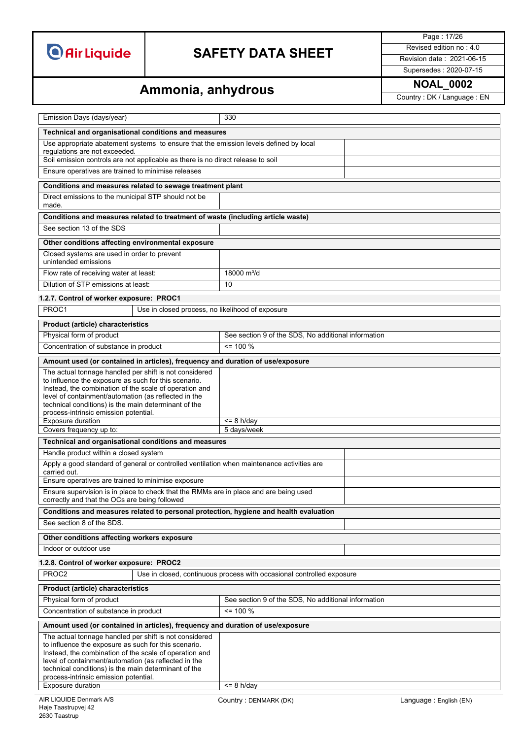## **SAFETY DATA SHEET** Revised edition no : 4.0

Page : 17/26

Supersedes : 2020-07-15

# **Ammonia, anhydrous Ammonia, and Ammonia, and Ammonial Property:** DK / Language : EN

| Emission Days (days/year)                                                                                                                                                                                                                                                                                                                                                |                                                    | 330                                                                                   |                        |
|--------------------------------------------------------------------------------------------------------------------------------------------------------------------------------------------------------------------------------------------------------------------------------------------------------------------------------------------------------------------------|----------------------------------------------------|---------------------------------------------------------------------------------------|------------------------|
| Technical and organisational conditions and measures                                                                                                                                                                                                                                                                                                                     |                                                    |                                                                                       |                        |
| Use appropriate abatement systems to ensure that the emission levels defined by local<br>regulations are not exceeded.                                                                                                                                                                                                                                                   |                                                    |                                                                                       |                        |
| Soil emission controls are not applicable as there is no direct release to soil                                                                                                                                                                                                                                                                                          |                                                    |                                                                                       |                        |
| Ensure operatives are trained to minimise releases                                                                                                                                                                                                                                                                                                                       |                                                    |                                                                                       |                        |
| Conditions and measures related to sewage treatment plant                                                                                                                                                                                                                                                                                                                |                                                    |                                                                                       |                        |
| Direct emissions to the municipal STP should not be<br>made.                                                                                                                                                                                                                                                                                                             |                                                    |                                                                                       |                        |
|                                                                                                                                                                                                                                                                                                                                                                          |                                                    | Conditions and measures related to treatment of waste (including article waste)       |                        |
| See section 13 of the SDS                                                                                                                                                                                                                                                                                                                                                |                                                    |                                                                                       |                        |
| Other conditions affecting environmental exposure                                                                                                                                                                                                                                                                                                                        |                                                    |                                                                                       |                        |
| Closed systems are used in order to prevent<br>unintended emissions                                                                                                                                                                                                                                                                                                      |                                                    |                                                                                       |                        |
| Flow rate of receiving water at least:                                                                                                                                                                                                                                                                                                                                   |                                                    | 18000 m <sup>3</sup> /d                                                               |                        |
| Dilution of STP emissions at least:                                                                                                                                                                                                                                                                                                                                      |                                                    | 10                                                                                    |                        |
| 1.2.7. Control of worker exposure: PROC1                                                                                                                                                                                                                                                                                                                                 |                                                    |                                                                                       |                        |
| PROC1                                                                                                                                                                                                                                                                                                                                                                    | Use in closed process, no likelihood of exposure   |                                                                                       |                        |
| <b>Product (article) characteristics</b>                                                                                                                                                                                                                                                                                                                                 |                                                    |                                                                                       |                        |
| Physical form of product                                                                                                                                                                                                                                                                                                                                                 |                                                    | See section 9 of the SDS, No additional information                                   |                        |
| Concentration of substance in product                                                                                                                                                                                                                                                                                                                                    |                                                    | $= 100 \%$                                                                            |                        |
|                                                                                                                                                                                                                                                                                                                                                                          |                                                    | Amount used (or contained in articles), frequency and duration of use/exposure        |                        |
| The actual tonnage handled per shift is not considered<br>to influence the exposure as such for this scenario.<br>Instead, the combination of the scale of operation and<br>level of containment/automation (as reflected in the<br>technical conditions) is the main determinant of the<br>process-intrinsic emission potential.                                        |                                                    |                                                                                       |                        |
| Exposure duration                                                                                                                                                                                                                                                                                                                                                        |                                                    | $\overline{5}$ 8 h/day                                                                |                        |
| Covers frequency up to:<br>5 days/week                                                                                                                                                                                                                                                                                                                                   |                                                    |                                                                                       |                        |
| Technical and organisational conditions and measures                                                                                                                                                                                                                                                                                                                     |                                                    |                                                                                       |                        |
| Handle product within a closed system                                                                                                                                                                                                                                                                                                                                    |                                                    |                                                                                       |                        |
| Apply a good standard of general or controlled ventilation when maintenance activities are<br>carried out.<br>Ensure operatives are trained to minimise exposure                                                                                                                                                                                                         |                                                    |                                                                                       |                        |
| Ensure supervision is in place to check that the RMMs are in place and are being used<br>correctly and that the OCs are being followed                                                                                                                                                                                                                                   |                                                    |                                                                                       |                        |
|                                                                                                                                                                                                                                                                                                                                                                          |                                                    | Conditions and measures related to personal protection, hygiene and health evaluation |                        |
| See section 8 of the SDS.                                                                                                                                                                                                                                                                                                                                                |                                                    |                                                                                       |                        |
| Other conditions affecting workers exposure                                                                                                                                                                                                                                                                                                                              |                                                    |                                                                                       |                        |
| Indoor or outdoor use                                                                                                                                                                                                                                                                                                                                                    |                                                    |                                                                                       |                        |
| 1.2.8. Control of worker exposure: PROC2                                                                                                                                                                                                                                                                                                                                 |                                                    |                                                                                       |                        |
| PROC <sub>2</sub>                                                                                                                                                                                                                                                                                                                                                        |                                                    | Use in closed, continuous process with occasional controlled exposure                 |                        |
| Product (article) characteristics                                                                                                                                                                                                                                                                                                                                        |                                                    |                                                                                       |                        |
| Physical form of product<br>See section 9 of the SDS, No additional information                                                                                                                                                                                                                                                                                          |                                                    |                                                                                       |                        |
|                                                                                                                                                                                                                                                                                                                                                                          | Concentration of substance in product<br>$= 100 %$ |                                                                                       |                        |
| Amount used (or contained in articles), frequency and duration of use/exposure                                                                                                                                                                                                                                                                                           |                                                    |                                                                                       |                        |
| The actual tonnage handled per shift is not considered<br>to influence the exposure as such for this scenario.<br>Instead, the combination of the scale of operation and<br>level of containment/automation (as reflected in the<br>technical conditions) is the main determinant of the<br>process-intrinsic emission potential.<br>Exposure duration<br>$\leq$ 8 h/day |                                                    |                                                                                       |                        |
|                                                                                                                                                                                                                                                                                                                                                                          |                                                    |                                                                                       |                        |
| AIR LIQUIDE Denmark A/S                                                                                                                                                                                                                                                                                                                                                  |                                                    | Country : DENMARK (DK)                                                                | Language: English (EN) |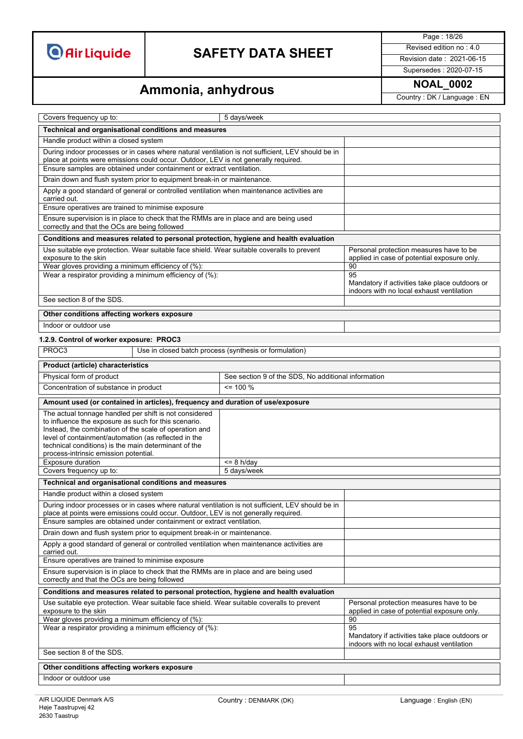## **SAFETY DATA SHEET** Revised edition no : 4.0

Page : 18/26

Supersedes : 2020-07-15

# **Ammonia, anhydrous Ammonia, and Ammonia**

| Covers frequency up to:                                                                                                                                                                                                                                                                                                           | 5 days/week                                            |                                                                                                   |  |  |
|-----------------------------------------------------------------------------------------------------------------------------------------------------------------------------------------------------------------------------------------------------------------------------------------------------------------------------------|--------------------------------------------------------|---------------------------------------------------------------------------------------------------|--|--|
| Technical and organisational conditions and measures                                                                                                                                                                                                                                                                              |                                                        |                                                                                                   |  |  |
| Handle product within a closed system                                                                                                                                                                                                                                                                                             |                                                        |                                                                                                   |  |  |
| During indoor processes or in cases where natural ventilation is not sufficient, LEV should be in<br>place at points were emissions could occur. Outdoor, LEV is not generally required.<br>Ensure samples are obtained under containment or extract ventilation.                                                                 |                                                        |                                                                                                   |  |  |
| Drain down and flush system prior to equipment break-in or maintenance.                                                                                                                                                                                                                                                           |                                                        |                                                                                                   |  |  |
| Apply a good standard of general or controlled ventilation when maintenance activities are                                                                                                                                                                                                                                        |                                                        |                                                                                                   |  |  |
| carried out.<br>Ensure operatives are trained to minimise exposure                                                                                                                                                                                                                                                                |                                                        |                                                                                                   |  |  |
| Ensure supervision is in place to check that the RMMs are in place and are being used<br>correctly and that the OCs are being followed                                                                                                                                                                                            |                                                        |                                                                                                   |  |  |
| Conditions and measures related to personal protection, hygiene and health evaluation                                                                                                                                                                                                                                             |                                                        |                                                                                                   |  |  |
| Use suitable eye protection. Wear suitable face shield. Wear suitable coveralls to prevent<br>exposure to the skin<br>Wear gloves providing a minimum efficiency of (%):                                                                                                                                                          |                                                        | Personal protection measures have to be<br>applied in case of potential exposure only.<br>90      |  |  |
| Wear a respirator providing a minimum efficiency of (%):                                                                                                                                                                                                                                                                          |                                                        | 95<br>Mandatory if activities take place outdoors or<br>indoors with no local exhaust ventilation |  |  |
| See section 8 of the SDS.                                                                                                                                                                                                                                                                                                         |                                                        |                                                                                                   |  |  |
| Other conditions affecting workers exposure                                                                                                                                                                                                                                                                                       |                                                        |                                                                                                   |  |  |
| Indoor or outdoor use                                                                                                                                                                                                                                                                                                             |                                                        |                                                                                                   |  |  |
| 1.2.9. Control of worker exposure: PROC3                                                                                                                                                                                                                                                                                          |                                                        |                                                                                                   |  |  |
| PROC <sub>3</sub>                                                                                                                                                                                                                                                                                                                 | Use in closed batch process (synthesis or formulation) |                                                                                                   |  |  |
| <b>Product (article) characteristics</b>                                                                                                                                                                                                                                                                                          |                                                        |                                                                                                   |  |  |
| Physical form of product                                                                                                                                                                                                                                                                                                          | See section 9 of the SDS, No additional information    |                                                                                                   |  |  |
| Concentration of substance in product                                                                                                                                                                                                                                                                                             | $= 100 \%$                                             |                                                                                                   |  |  |
| Amount used (or contained in articles), frequency and duration of use/exposure                                                                                                                                                                                                                                                    |                                                        |                                                                                                   |  |  |
| The actual tonnage handled per shift is not considered<br>to influence the exposure as such for this scenario.<br>Instead, the combination of the scale of operation and<br>level of containment/automation (as reflected in the<br>technical conditions) is the main determinant of the<br>process-intrinsic emission potential. |                                                        |                                                                                                   |  |  |
| <b>Exposure duration</b><br>$\leq$ 8 h/day                                                                                                                                                                                                                                                                                        |                                                        |                                                                                                   |  |  |
| Covers frequency up to:<br>5 days/week                                                                                                                                                                                                                                                                                            |                                                        |                                                                                                   |  |  |
| Technical and organisational conditions and measures                                                                                                                                                                                                                                                                              |                                                        |                                                                                                   |  |  |
| Handle product within a closed system                                                                                                                                                                                                                                                                                             |                                                        |                                                                                                   |  |  |
| During indoor processes or in cases where natural ventilation is not sufficient, LEV should be in<br>place at points were emissions could occur. Outdoor, LEV is not generally required.                                                                                                                                          |                                                        |                                                                                                   |  |  |
| Ensure samples are obtained under containment or extract ventilation.<br>Drain down and flush system prior to equipment break-in or maintenance.                                                                                                                                                                                  |                                                        |                                                                                                   |  |  |
| Apply a good standard of general or controlled ventilation when maintenance activities are<br>carried out.                                                                                                                                                                                                                        |                                                        |                                                                                                   |  |  |
| Ensure operatives are trained to minimise exposure                                                                                                                                                                                                                                                                                |                                                        |                                                                                                   |  |  |
| Ensure supervision is in place to check that the RMMs are in place and are being used<br>correctly and that the OCs are being followed                                                                                                                                                                                            |                                                        |                                                                                                   |  |  |
| Conditions and measures related to personal protection, hygiene and health evaluation                                                                                                                                                                                                                                             |                                                        |                                                                                                   |  |  |
| Use suitable eye protection. Wear suitable face shield. Wear suitable coveralls to prevent<br>exposure to the skin                                                                                                                                                                                                                |                                                        | Personal protection measures have to be<br>applied in case of potential exposure only.            |  |  |
| Wear gloves providing a minimum efficiency of (%):                                                                                                                                                                                                                                                                                |                                                        | 90                                                                                                |  |  |
| Wear a respirator providing a minimum efficiency of (%):                                                                                                                                                                                                                                                                          |                                                        | 95<br>Mandatory if activities take place outdoors or<br>indoors with no local exhaust ventilation |  |  |
| See section 8 of the SDS.                                                                                                                                                                                                                                                                                                         |                                                        |                                                                                                   |  |  |
| Other conditions affecting workers exposure                                                                                                                                                                                                                                                                                       |                                                        |                                                                                                   |  |  |
| Indoor or outdoor use                                                                                                                                                                                                                                                                                                             |                                                        |                                                                                                   |  |  |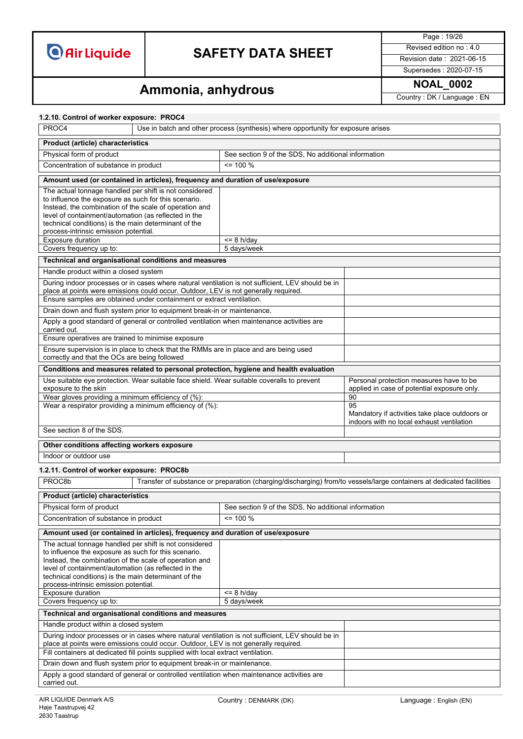## **SAFETY DATA SHEET** Revised edition no : 4.0

Page : 19/26

Supersedes : 2020-07-15

# **Ammonia, anhydrous Ammonia, and Ammonia, and Ammonial Property : DK / Language : EN**

| 1.2.10. Control of worker exposure: PROC4                                                                                                                                                                                                                                                                                         |                                                                                     |                                                                                                   |                                                                                                                      |
|-----------------------------------------------------------------------------------------------------------------------------------------------------------------------------------------------------------------------------------------------------------------------------------------------------------------------------------|-------------------------------------------------------------------------------------|---------------------------------------------------------------------------------------------------|----------------------------------------------------------------------------------------------------------------------|
| PROC4<br>Use in batch and other process (synthesis) where opportunity for exposure arises                                                                                                                                                                                                                                         |                                                                                     |                                                                                                   |                                                                                                                      |
| Product (article) characteristics                                                                                                                                                                                                                                                                                                 |                                                                                     |                                                                                                   |                                                                                                                      |
| Physical form of product<br>See section 9 of the SDS, No additional information                                                                                                                                                                                                                                                   |                                                                                     |                                                                                                   |                                                                                                                      |
| Concentration of substance in product                                                                                                                                                                                                                                                                                             |                                                                                     | <= 100 %                                                                                          |                                                                                                                      |
|                                                                                                                                                                                                                                                                                                                                   | Amount used (or contained in articles), frequency and duration of use/exposure      |                                                                                                   |                                                                                                                      |
| The actual tonnage handled per shift is not considered                                                                                                                                                                                                                                                                            |                                                                                     |                                                                                                   |                                                                                                                      |
| to influence the exposure as such for this scenario.<br>Instead, the combination of the scale of operation and<br>level of containment/automation (as reflected in the                                                                                                                                                            |                                                                                     |                                                                                                   |                                                                                                                      |
| technical conditions) is the main determinant of the<br>process-intrinsic emission potential.                                                                                                                                                                                                                                     |                                                                                     |                                                                                                   |                                                                                                                      |
| Exposure duration<br>Covers frequency up to:                                                                                                                                                                                                                                                                                      |                                                                                     | $= 8$ h/dav<br>5 days/week                                                                        |                                                                                                                      |
|                                                                                                                                                                                                                                                                                                                                   | Technical and organisational conditions and measures                                |                                                                                                   |                                                                                                                      |
| Handle product within a closed system                                                                                                                                                                                                                                                                                             |                                                                                     |                                                                                                   |                                                                                                                      |
|                                                                                                                                                                                                                                                                                                                                   |                                                                                     | During indoor processes or in cases where natural ventilation is not sufficient, LEV should be in |                                                                                                                      |
|                                                                                                                                                                                                                                                                                                                                   | place at points were emissions could occur. Outdoor, LEV is not generally required. |                                                                                                   |                                                                                                                      |
|                                                                                                                                                                                                                                                                                                                                   | Ensure samples are obtained under containment or extract ventilation.               |                                                                                                   |                                                                                                                      |
|                                                                                                                                                                                                                                                                                                                                   | Drain down and flush system prior to equipment break-in or maintenance.             |                                                                                                   |                                                                                                                      |
| carried out.                                                                                                                                                                                                                                                                                                                      |                                                                                     | Apply a good standard of general or controlled ventilation when maintenance activities are        |                                                                                                                      |
| Ensure operatives are trained to minimise exposure                                                                                                                                                                                                                                                                                |                                                                                     |                                                                                                   |                                                                                                                      |
| correctly and that the OCs are being followed                                                                                                                                                                                                                                                                                     |                                                                                     | Ensure supervision is in place to check that the RMMs are in place and are being used             |                                                                                                                      |
|                                                                                                                                                                                                                                                                                                                                   |                                                                                     | Conditions and measures related to personal protection, hygiene and health evaluation             |                                                                                                                      |
|                                                                                                                                                                                                                                                                                                                                   |                                                                                     | Use suitable eye protection. Wear suitable face shield. Wear suitable coveralls to prevent        | Personal protection measures have to be                                                                              |
| exposure to the skin                                                                                                                                                                                                                                                                                                              |                                                                                     |                                                                                                   | applied in case of potential exposure only.<br>90                                                                    |
| Wear gloves providing a minimum efficiency of (%):<br>Wear a respirator providing a minimum efficiency of (%):                                                                                                                                                                                                                    |                                                                                     |                                                                                                   | 95                                                                                                                   |
|                                                                                                                                                                                                                                                                                                                                   |                                                                                     |                                                                                                   | Mandatory if activities take place outdoors or<br>indoors with no local exhaust ventilation                          |
| See section 8 of the SDS.                                                                                                                                                                                                                                                                                                         |                                                                                     |                                                                                                   |                                                                                                                      |
| Other conditions affecting workers exposure                                                                                                                                                                                                                                                                                       |                                                                                     |                                                                                                   |                                                                                                                      |
| Indoor or outdoor use                                                                                                                                                                                                                                                                                                             |                                                                                     |                                                                                                   |                                                                                                                      |
| 1.2.11. Control of worker exposure: PROC8b                                                                                                                                                                                                                                                                                        |                                                                                     |                                                                                                   |                                                                                                                      |
| PROC8b                                                                                                                                                                                                                                                                                                                            |                                                                                     |                                                                                                   | Transfer of substance or preparation (charging/discharging) from/to vessels/large containers at dedicated facilities |
| <b>Product (article) characteristics</b>                                                                                                                                                                                                                                                                                          |                                                                                     |                                                                                                   |                                                                                                                      |
| Physical form of product                                                                                                                                                                                                                                                                                                          |                                                                                     | See section 9 of the SDS, No additional information                                               |                                                                                                                      |
| Concentration of substance in product                                                                                                                                                                                                                                                                                             |                                                                                     | $\leq$ 100 %                                                                                      |                                                                                                                      |
|                                                                                                                                                                                                                                                                                                                                   | Amount used (or contained in articles), frequency and duration of use/exposure      |                                                                                                   |                                                                                                                      |
| The actual tonnage handled per shift is not considered<br>to influence the exposure as such for this scenario.<br>Instead, the combination of the scale of operation and<br>level of containment/automation (as reflected in the<br>technical conditions) is the main determinant of the<br>process-intrinsic emission potential. |                                                                                     |                                                                                                   |                                                                                                                      |
| Exposure duration<br><= 8 h/day                                                                                                                                                                                                                                                                                                   |                                                                                     |                                                                                                   |                                                                                                                      |
| Covers frequency up to:<br>5 days/week                                                                                                                                                                                                                                                                                            |                                                                                     |                                                                                                   |                                                                                                                      |
| Technical and organisational conditions and measures                                                                                                                                                                                                                                                                              |                                                                                     |                                                                                                   |                                                                                                                      |
| Handle product within a closed system                                                                                                                                                                                                                                                                                             |                                                                                     |                                                                                                   |                                                                                                                      |
| During indoor processes or in cases where natural ventilation is not sufficient, LEV should be in<br>place at points were emissions could occur. Outdoor, LEV is not generally required.                                                                                                                                          |                                                                                     |                                                                                                   |                                                                                                                      |
| Fill containers at dedicated fill points supplied with local extract ventilation.                                                                                                                                                                                                                                                 |                                                                                     |                                                                                                   |                                                                                                                      |
| Drain down and flush system prior to equipment break-in or maintenance.                                                                                                                                                                                                                                                           |                                                                                     |                                                                                                   |                                                                                                                      |
| Apply a good standard of general or controlled ventilation when maintenance activities are<br>carried out.                                                                                                                                                                                                                        |                                                                                     |                                                                                                   |                                                                                                                      |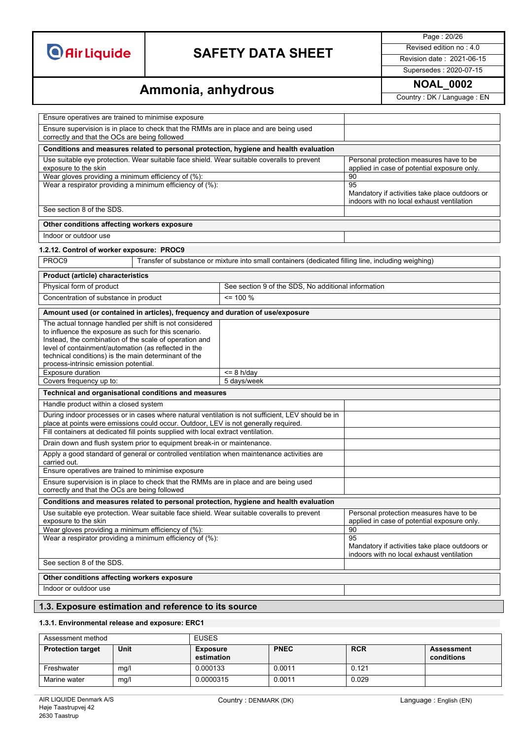## **SAFETY DATA SHEET** Revised edition no : 4.0

Page : 20/26

Supersedes : 2020-07-15

## **Ammonia, anhydrous** MOAL\_0002

| Ensure operatives are trained to minimise exposure                                                                                                                                                                                                                                                                                |                                                                                                     |                                                                                                         |  |  |
|-----------------------------------------------------------------------------------------------------------------------------------------------------------------------------------------------------------------------------------------------------------------------------------------------------------------------------------|-----------------------------------------------------------------------------------------------------|---------------------------------------------------------------------------------------------------------|--|--|
| Ensure supervision is in place to check that the RMMs are in place and are being used<br>correctly and that the OCs are being followed                                                                                                                                                                                            |                                                                                                     |                                                                                                         |  |  |
| Conditions and measures related to personal protection, hygiene and health evaluation                                                                                                                                                                                                                                             |                                                                                                     |                                                                                                         |  |  |
| Use suitable eye protection. Wear suitable face shield. Wear suitable coveralls to prevent<br>exposure to the skin                                                                                                                                                                                                                | Personal protection measures have to be<br>applied in case of potential exposure only.              |                                                                                                         |  |  |
| Wear gloves providing a minimum efficiency of (%):<br>Wear a respirator providing a minimum efficiency of (%):                                                                                                                                                                                                                    |                                                                                                     | 90<br>95                                                                                                |  |  |
|                                                                                                                                                                                                                                                                                                                                   |                                                                                                     | Mandatory if activities take place outdoors or<br>indoors with no local exhaust ventilation             |  |  |
| See section 8 of the SDS.                                                                                                                                                                                                                                                                                                         |                                                                                                     |                                                                                                         |  |  |
| Other conditions affecting workers exposure                                                                                                                                                                                                                                                                                       |                                                                                                     |                                                                                                         |  |  |
| Indoor or outdoor use                                                                                                                                                                                                                                                                                                             |                                                                                                     |                                                                                                         |  |  |
| 1.2.12. Control of worker exposure: PROC9                                                                                                                                                                                                                                                                                         |                                                                                                     |                                                                                                         |  |  |
| PROC9                                                                                                                                                                                                                                                                                                                             | Transfer of substance or mixture into small containers (dedicated filling line, including weighing) |                                                                                                         |  |  |
| Product (article) characteristics                                                                                                                                                                                                                                                                                                 |                                                                                                     |                                                                                                         |  |  |
| Physical form of product                                                                                                                                                                                                                                                                                                          | See section 9 of the SDS, No additional information                                                 |                                                                                                         |  |  |
| Concentration of substance in product                                                                                                                                                                                                                                                                                             | $= 100 %$                                                                                           |                                                                                                         |  |  |
| Amount used (or contained in articles), frequency and duration of use/exposure                                                                                                                                                                                                                                                    |                                                                                                     |                                                                                                         |  |  |
| The actual tonnage handled per shift is not considered<br>to influence the exposure as such for this scenario.<br>Instead, the combination of the scale of operation and<br>level of containment/automation (as reflected in the<br>technical conditions) is the main determinant of the<br>process-intrinsic emission potential. |                                                                                                     |                                                                                                         |  |  |
| Exposure duration<br>Covers frequency up to:                                                                                                                                                                                                                                                                                      | $\overline{58} = 8$ h/day<br>5 days/week                                                            |                                                                                                         |  |  |
| Technical and organisational conditions and measures                                                                                                                                                                                                                                                                              |                                                                                                     |                                                                                                         |  |  |
| Handle product within a closed system                                                                                                                                                                                                                                                                                             |                                                                                                     |                                                                                                         |  |  |
| During indoor processes or in cases where natural ventilation is not sufficient, LEV should be in<br>place at points were emissions could occur. Outdoor, LEV is not generally required.<br>Fill containers at dedicated fill points supplied with local extract ventilation.                                                     |                                                                                                     |                                                                                                         |  |  |
| Drain down and flush system prior to equipment break-in or maintenance.                                                                                                                                                                                                                                                           |                                                                                                     |                                                                                                         |  |  |
| Apply a good standard of general or controlled ventilation when maintenance activities are<br>carried out.                                                                                                                                                                                                                        |                                                                                                     |                                                                                                         |  |  |
| Ensure operatives are trained to minimise exposure                                                                                                                                                                                                                                                                                |                                                                                                     |                                                                                                         |  |  |
| Ensure supervision is in place to check that the RMMs are in place and are being used<br>correctly and that the OCs are being followed                                                                                                                                                                                            |                                                                                                     |                                                                                                         |  |  |
| Conditions and measures related to personal protection, hygiene and health evaluation                                                                                                                                                                                                                                             |                                                                                                     |                                                                                                         |  |  |
| Use suitable eye protection. Wear suitable face shield. Wear suitable coveralls to prevent<br>exposure to the skin                                                                                                                                                                                                                | Personal protection measures have to be<br>applied in case of potential exposure only.              |                                                                                                         |  |  |
| Wear gloves providing a minimum efficiency of (%):<br>Wear a respirator providing a minimum efficiency of (%):                                                                                                                                                                                                                    |                                                                                                     | 90<br>95<br>Mandatory if activities take place outdoors or<br>indoors with no local exhaust ventilation |  |  |
| See section 8 of the SDS.                                                                                                                                                                                                                                                                                                         |                                                                                                     |                                                                                                         |  |  |
| Other conditions affecting workers exposure                                                                                                                                                                                                                                                                                       |                                                                                                     |                                                                                                         |  |  |
| Indoor or outdoor use                                                                                                                                                                                                                                                                                                             |                                                                                                     |                                                                                                         |  |  |
| 1.3. Exposure estimation and reference to its source                                                                                                                                                                                                                                                                              |                                                                                                     |                                                                                                         |  |  |
|                                                                                                                                                                                                                                                                                                                                   |                                                                                                     |                                                                                                         |  |  |

### **1.3.1. Environmental release and exposure: ERC1**

| Assessment method        |      | <b>EUSES</b>                  |             |            |                          |
|--------------------------|------|-------------------------------|-------------|------------|--------------------------|
| <b>Protection target</b> | Unit | <b>Exposure</b><br>estimation | <b>PNEC</b> | <b>RCR</b> | Assessment<br>conditions |
| Freshwater               | mg/l | 0.000133                      | 0.0011      | 0.121      |                          |
| Marine water             | mg/l | 0.0000315                     | 0.0011      | 0.029      |                          |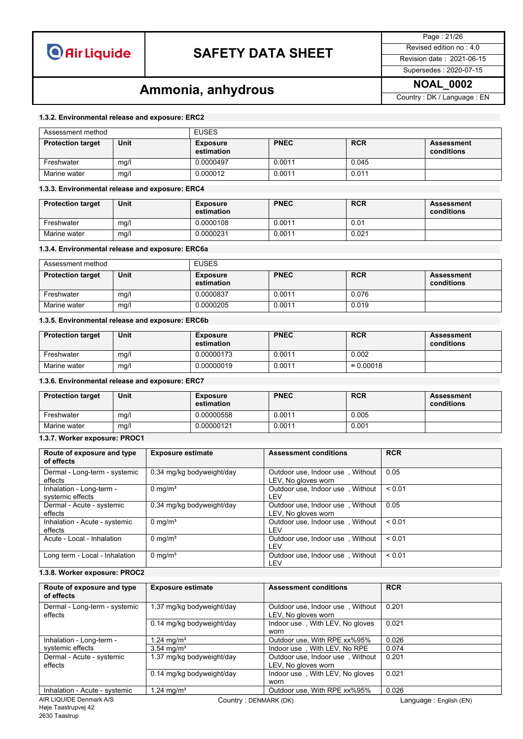## **SAFETY DATA SHEET** Revised edition no : 4.0

Page : 21/26

### Supersedes : 2020-07-15

## **Ammonia, anhydrous Ammonia, and Ammonia, and Ammonial Property:** DK / Language : EN

#### **1.3.2. Environmental release and exposure: ERC2**

| Assessment method        |      | <b>EUSES</b>                  |             |            |                                 |
|--------------------------|------|-------------------------------|-------------|------------|---------------------------------|
| <b>Protection target</b> | Unit | <b>Exposure</b><br>estimation | <b>PNEC</b> | <b>RCR</b> | <b>Assessment</b><br>conditions |
| Freshwater               | mg/l | 0.0000497                     | 0.0011      | 0.045      |                                 |
| Marine water             | mg/l | 0.000012                      | 0.0011      | 0.011      |                                 |

#### **1.3.3. Environmental release and exposure: ERC4**

| <b>Protection target</b> | Unit | Exposure<br>estimation | <b>PNEC</b> | <b>RCR</b> | <b>Assessment</b><br>conditions |
|--------------------------|------|------------------------|-------------|------------|---------------------------------|
| Freshwater               | mg/l | 0.0000108              | 0.0011      | 0.01       |                                 |
| Marine water             | mg/l | 0.0000231              | 0.0011      | 0.021      |                                 |

#### **1.3.4. Environmental release and exposure: ERC6a**

| Assessment method        |      | <b>EUSES</b>                  |             |            |                          |
|--------------------------|------|-------------------------------|-------------|------------|--------------------------|
| <b>Protection target</b> | Unit | <b>Exposure</b><br>estimation | <b>PNEC</b> | <b>RCR</b> | Assessment<br>conditions |
| Freshwater               | mg/l | 0.0000837                     | 0.0011      | 0.076      |                          |
| Marine water             | mg/l | 0.0000205                     | 0.0011      | 0.019      |                          |

#### **1.3.5. Environmental release and exposure: ERC6b**

| <b>Protection target</b> | Unit | <b>Exposure</b><br>estimation | <b>PNEC</b> | <b>RCR</b>        | <b>Assessment</b><br>conditions |
|--------------------------|------|-------------------------------|-------------|-------------------|---------------------------------|
| Freshwater               | mg/  | 0.00000173                    | 0.0011      | 0.002             |                                 |
| Marine water             | mg/l | 0.00000019                    | 0.0011      | $\approx 0.00018$ |                                 |

### **1.3.6. Environmental release and exposure: ERC7**

| <b>Protection target</b> | Unit | <b>Exposure</b><br>estimation | <b>PNEC</b> | <b>RCR</b> | <b>Assessment</b><br>conditions |
|--------------------------|------|-------------------------------|-------------|------------|---------------------------------|
| Freshwater               | mq/1 | 0.00000558                    | 0.0011      | 0.005      |                                 |
| Marine water             | mg/l | 0.00000121                    | 0.0011      | 0.001      |                                 |

#### **1.3.7. Worker exposure: PROC1**

| Route of exposure and type<br>of effects     | <b>Exposure estimate</b>  | <b>Assessment conditions</b>                            | <b>RCR</b>  |
|----------------------------------------------|---------------------------|---------------------------------------------------------|-------------|
| Dermal - Long-term - systemic<br>effects     | 0.34 mg/kg bodyweight/day | Outdoor use, Indoor use, Without<br>LEV, No gloves worn | 0.05        |
| Inhalation - Long-term -<br>systemic effects | $0 \text{ mg/m}^3$        | Outdoor use, Indoor use, Without<br>LEV                 | < 0.01      |
| Dermal - Acute - systemic<br>effects         | 0.34 mg/kg bodyweight/day | Outdoor use, Indoor use, Without<br>LEV, No gloves worn | 0.05        |
| Inhalation - Acute - systemic<br>effects     | 0 mg/m <sup>3</sup>       | Outdoor use, Indoor use, Without<br>LEV                 | < 0.01      |
| Acute - Local - Inhalation                   | $0 \text{ mg/m}^3$        | Outdoor use, Indoor use, Without<br>LEV                 | ${}_{0.01}$ |
| Long term - Local - Inhalation               | 0 mg/m <sup>3</sup>       | Outdoor use, Indoor use, Without<br>LEV                 | < 0.01      |

### **1.3.8. Worker exposure: PROC2**

| Route of exposure and type<br>of effects | <b>Exposure estimate</b>  | <b>Assessment conditions</b>                            | <b>RCR</b> |
|------------------------------------------|---------------------------|---------------------------------------------------------|------------|
| Dermal - Long-term - systemic<br>effects | 1.37 mg/kg bodyweight/day | Outdoor use, Indoor use, Without<br>LEV, No gloves worn | 0.201      |
|                                          | 0.14 mg/kg bodyweight/day | Indoor use, With LEV, No gloves<br>worn                 | 0.021      |
| Inhalation - Long-term -                 | $1.24 \text{ mg/m}^3$     | Outdoor use, With RPE xx%95%                            | 0.026      |
| systemic effects                         | $3.54 \text{ mg/m}^3$     | Indoor use, With LEV, No RPE                            | 0.074      |
| Dermal - Acute - systemic<br>effects     | 1.37 mg/kg bodyweight/day | Outdoor use, Indoor use, Without<br>LEV, No gloves worn | 0.201      |
|                                          | 0.14 mg/kg bodyweight/day | Indoor use, With LEV, No gloves<br>worn                 | 0.021      |
| Inhalation - Acute - systemic            | .24 mg/m <sup>3</sup>     | Outdoor use, With RPE xx%95%                            | 0.026      |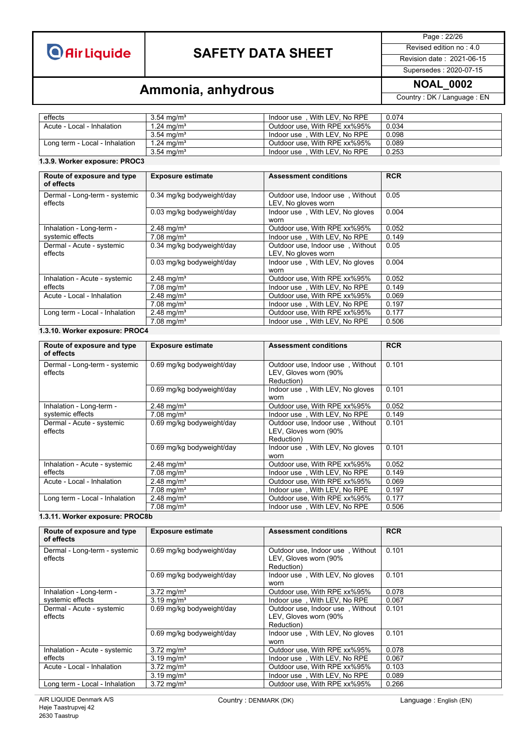## **SAFETY DATA SHEET** Revised edition no : 4.0

Page : 22/26

### Supersedes : 2020-07-15

## **Ammonia, anhydrous Ammonia, and Ammonia, and Ammonial Property:** DK / Language : EN

effects 3.54 mg/m<sup>3</sup> and the most of the U.074 Acute - Local - Inhalation 3.54 mg/m<sup>3</sup> and the U.074 Acute - Local - Inhalation 1.24 mg/m<sup>3</sup> and the U.034 and U.034 Acute - Local - Inhalation 5.034 mg/m<sup>3</sup> and U.034 and U. 1.24 mg/m<sup>3</sup> 0utdoor use, With RPE xx%95% 0.034<br>3.54 mg/m<sup>3</sup> 1ndoor use, With LEV, No RPE 0.098<br>1.24 mg/m<sup>3</sup> 0utdoor use, With RPE xx%95% 0.089 3.54 mg/mª | Indoor use,With LEV, No RPE | 0.098 Long term - Local - Inhalation | 1.24 mg/mª Outdoor use, With RPE xx%95% |0.089 3.54 mg/mª | Indoor use , With LEV, No RPE | 0.253

### **1.3.9. Worker exposure: PROC3**

| Route of exposure and type<br>of effects | <b>Exposure estimate</b>  | <b>Assessment conditions</b>                            | <b>RCR</b> |
|------------------------------------------|---------------------------|---------------------------------------------------------|------------|
| Dermal - Long-term - systemic<br>effects | 0.34 mg/kg bodyweight/day | Outdoor use, Indoor use, Without<br>LEV, No gloves worn | 0.05       |
|                                          | 0.03 mg/kg bodyweight/day | Indoor use, With LEV, No gloves<br>worn                 | 0.004      |
| Inhalation - Long-term -                 | 2.48 mg/m <sup>3</sup>    | Outdoor use, With RPE xx%95%                            | 0.052      |
| systemic effects                         | $7.08 \text{ mg/m}^3$     | Indoor use, With LEV, No RPE                            | 0.149      |
| Dermal - Acute - systemic<br>effects     | 0.34 mg/kg bodyweight/day | Outdoor use, Indoor use, Without<br>LEV, No gloves worn | 0.05       |
|                                          | 0.03 mg/kg bodyweight/day | Indoor use, With LEV, No gloves<br>worn                 | 0.004      |
| Inhalation - Acute - systemic            | 2.48 mg/m <sup>3</sup>    | Outdoor use. With RPE xx%95%                            | 0.052      |
| effects                                  | $7.08 \text{ mg/m}^3$     | Indoor use, With LEV, No RPE                            | 0.149      |
| Acute - Local - Inhalation               | 2.48 mg/m <sup>3</sup>    | Outdoor use, With RPE xx%95%                            | 0.069      |
|                                          | 7.08 mg/m <sup>3</sup>    | Indoor use, With LEV, No RPE                            | 0.197      |
| Long term - Local - Inhalation           | 2.48 mg/m <sup>3</sup>    | Outdoor use, With RPE xx%95%                            | 0.177      |
|                                          | $7.08 \text{ mg/m}^3$     | Indoor use, With LEV, No RPE                            | 0.506      |

### **1.3.10. Worker exposure: PROC4**

| Route of exposure and type<br>of effects | <b>Exposure estimate</b>  | <b>Assessment conditions</b>                                            | <b>RCR</b> |
|------------------------------------------|---------------------------|-------------------------------------------------------------------------|------------|
| Dermal - Long-term - systemic<br>effects | 0.69 mg/kg bodyweight/day | Outdoor use, Indoor use, Without<br>LEV, Gloves worn (90%<br>Reduction) | 0.101      |
|                                          | 0.69 mg/kg bodyweight/day | Indoor use, With LEV, No gloves<br>worn                                 | 0.101      |
| Inhalation - Long-term -                 | 2.48 mg/m <sup>3</sup>    | Outdoor use, With RPE xx%95%                                            | 0.052      |
| systemic effects                         | $7.08 \text{ mg/m}^3$     | Indoor use, With LEV, No RPE                                            | 0.149      |
| Dermal - Acute - systemic<br>effects     | 0.69 mg/kg bodyweight/day | Outdoor use, Indoor use, Without<br>LEV, Gloves worn (90%<br>Reduction) | 0.101      |
|                                          | 0.69 mg/kg bodyweight/day | Indoor use, With LEV, No gloves<br>worn                                 | 0.101      |
| Inhalation - Acute - systemic            | 2.48 mg/m <sup>3</sup>    | Outdoor use, With RPE xx%95%                                            | 0.052      |
| effects                                  | $7.08 \text{ mg/m}^3$     | Indoor use, With LEV, No RPE                                            | 0.149      |
| Acute - Local - Inhalation               | 2.48 mg/m <sup>3</sup>    | Outdoor use, With RPE xx%95%                                            | 0.069      |
|                                          | $7.08 \text{ mg/m}^3$     | Indoor use, With LEV, No RPE                                            | 0.197      |
| Long term - Local - Inhalation           | 2.48 mg/m <sup>3</sup>    | Outdoor use, With RPE xx%95%                                            | 0.177      |
|                                          | 7.08 mg/m <sup>3</sup>    | Indoor use, With LEV, No RPE                                            | 0.506      |

### **1.3.11. Worker exposure: PROC8b**

| Route of exposure and type<br>of effects | <b>Exposure estimate</b>  | <b>Assessment conditions</b>                                            | <b>RCR</b> |
|------------------------------------------|---------------------------|-------------------------------------------------------------------------|------------|
| Dermal - Long-term - systemic<br>effects | 0.69 mg/kg bodyweight/day | Outdoor use, Indoor use, Without<br>LEV, Gloves worn (90%<br>Reduction) | 0.101      |
|                                          | 0.69 mg/kg bodyweight/day | Indoor use, With LEV, No gloves<br>worn                                 | 0.101      |
| Inhalation - Long-term -                 | 3.72 mg/m <sup>3</sup>    | Outdoor use, With RPE xx%95%                                            | 0.078      |
| systemic effects                         | $3.19 \text{ mg/m}^3$     | Indoor use, With LEV, No RPE                                            | 0.067      |
| Dermal - Acute - systemic<br>effects     | 0.69 mg/kg bodyweight/day | Outdoor use. Indoor use. Without<br>LEV, Gloves worn (90%<br>Reduction) | 0.101      |
|                                          | 0.69 mg/kg bodyweight/day | Indoor use, With LEV, No gloves<br>worn                                 | 0.101      |
| Inhalation - Acute - systemic            | 3.72 mg/m <sup>3</sup>    | Outdoor use, With RPE xx%95%                                            | 0.078      |
| effects                                  | 3.19 mg/m <sup>3</sup>    | Indoor use, With LEV, No RPE                                            | 0.067      |
| Acute - Local - Inhalation               | 3.72 mg/m <sup>3</sup>    | Outdoor use. With RPE xx%95%                                            | 0.103      |
|                                          | 3.19 mg/m <sup>3</sup>    | Indoor use . With LEV. No RPE                                           | 0.089      |
| Long term - Local - Inhalation           | 3.72 mg/m <sup>3</sup>    | Outdoor use. With RPE xx%95%                                            | 0.266      |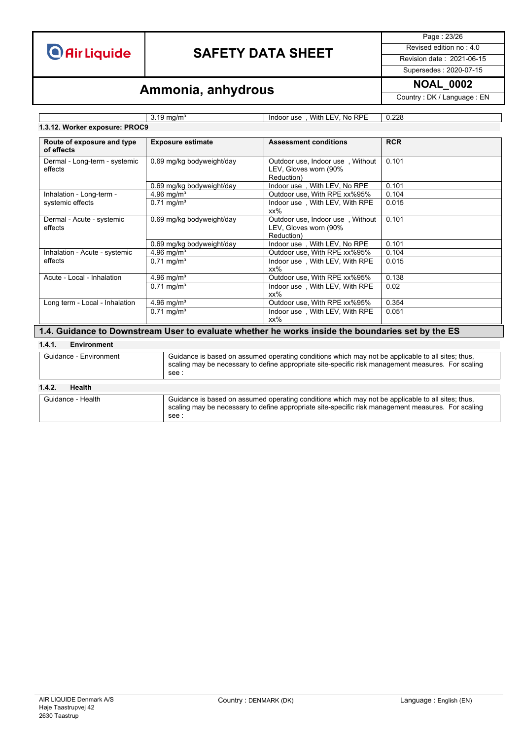## **SAFETY DATA SHEET** Revised edition no : 4.0

Page : 23/26

Supersedes : 2020-07-15

## **Ammonia, anhydrous** MOAL\_0002

### **1.3.12. Worker exposure: PROC9**

3.19 mg/m<sup>3</sup> 1ndoor use, With LEV, No RPE 0.228

| Route of exposure and type<br>of effects | <b>Exposure estimate</b>            | <b>Assessment conditions</b>                                            | <b>RCR</b> |
|------------------------------------------|-------------------------------------|-------------------------------------------------------------------------|------------|
| Dermal - Long-term - systemic<br>effects | 0.69 mg/kg bodyweight/day           | Outdoor use, Indoor use, Without<br>LEV, Gloves worn (90%<br>Reduction) | 0.101      |
|                                          | 0.69 mg/kg bodyweight/day           | Indoor use, With LEV, No RPE                                            | 0.101      |
| Inhalation - Long-term -                 | 4.96 mg/ $m^3$                      | Outdoor use, With RPE xx%95%                                            | 0.104      |
| systemic effects                         | $0.71 \text{ mg/m}^3$               | Indoor use, With LEV, With RPE<br>$xx\%$                                | 0.015      |
| Dermal - Acute - systemic<br>effects     | 0.69 mg/kg bodyweight/day           | Outdoor use, Indoor use, Without<br>LEV, Gloves worn (90%<br>Reduction) | 0.101      |
|                                          | 0.69 mg/kg bodyweight/day           | Indoor use, With LEV, No RPE                                            | 0.101      |
| Inhalation - Acute - systemic            | 4.96 mg/m <sup>3</sup>              | Outdoor use, With RPE xx%95%                                            | 0.104      |
| effects                                  | $\overline{0.71}$ mg/m <sup>3</sup> | Indoor use, With LEV, With RPE<br>xx%                                   | 0.015      |
| Acute - Local - Inhalation               | 4.96 mg/ $m^3$                      | Outdoor use, With RPE xx%95%                                            | 0.138      |
|                                          | $0.71 \text{ mg/m}^3$               | Indoor use, With LEV, With RPE<br>$xx\%$                                | 0.02       |
| Long term - Local - Inhalation           | 4.96 mg/ $m^3$                      | Outdoor use, With RPE xx%95%                                            | 0.354      |
|                                          | $0.71 \text{ mg/m}^3$               | Indoor use, With LEV, With RPE<br>xx%                                   | 0.051      |

### **1.4. Guidance to Downstream User to evaluate whether he works inside the boundaries set by the ES**

### **1.4.1. Environment**

| Guidance - Environment  | Guidance is based on assumed operating conditions which may not be applicable to all sites; thus,<br>scaling may be necessary to define appropriate site-specific risk management measures. For scaling<br>see : |
|-------------------------|------------------------------------------------------------------------------------------------------------------------------------------------------------------------------------------------------------------|
| <b>Health</b><br>1.4.2. |                                                                                                                                                                                                                  |
| Guidance - Health       | Guidance is based on assumed operating conditions which may not be applicable to all sites; thus,<br>scaling may be necessary to define appropriate site-specific risk management measures. For scaling<br>see : |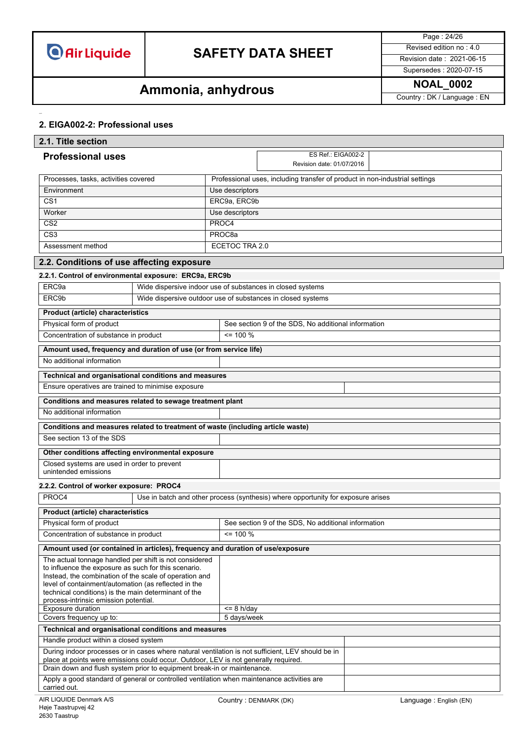

## **SAFETY DATA SHEET** Revised edition no : 4.0

Page : 24/26 Supersedes : 2020-07-15

# **Ammonia, anhydrous Ammonia, and Ammonia**

### **2. EIGA002-2: Professional uses**

| 2.1. Title section                                                                                             |                                                                                 |                            |                                                                                  |  |                        |
|----------------------------------------------------------------------------------------------------------------|---------------------------------------------------------------------------------|----------------------------|----------------------------------------------------------------------------------|--|------------------------|
| <b>Professional uses</b>                                                                                       |                                                                                 |                            | ES Ref.: EIGA002-2                                                               |  |                        |
|                                                                                                                |                                                                                 |                            | Revision date: 01/07/2016                                                        |  |                        |
| Processes, tasks, activities covered                                                                           |                                                                                 |                            | Professional uses, including transfer of product in non-industrial settings      |  |                        |
| Environment                                                                                                    |                                                                                 | Use descriptors            |                                                                                  |  |                        |
| CS <sub>1</sub>                                                                                                |                                                                                 | ERC9a, ERC9b               |                                                                                  |  |                        |
| Worker                                                                                                         |                                                                                 | Use descriptors            |                                                                                  |  |                        |
| CS <sub>2</sub>                                                                                                |                                                                                 | PROC4                      |                                                                                  |  |                        |
| CS <sub>3</sub>                                                                                                |                                                                                 | PROC8a                     |                                                                                  |  |                        |
| Assessment method                                                                                              |                                                                                 |                            | ECETOC TRA 2.0                                                                   |  |                        |
| 2.2. Conditions of use affecting exposure                                                                      |                                                                                 |                            |                                                                                  |  |                        |
| 2.2.1. Control of environmental exposure: ERC9a, ERC9b                                                         |                                                                                 |                            |                                                                                  |  |                        |
| ERC9a                                                                                                          | Wide dispersive indoor use of substances in closed systems                      |                            |                                                                                  |  |                        |
| ERC9b                                                                                                          |                                                                                 |                            | Wide dispersive outdoor use of substances in closed systems                      |  |                        |
| <b>Product (article) characteristics</b>                                                                       |                                                                                 |                            |                                                                                  |  |                        |
| Physical form of product                                                                                       |                                                                                 |                            | See section 9 of the SDS, No additional information                              |  |                        |
| Concentration of substance in product                                                                          |                                                                                 | $= 100 %$                  |                                                                                  |  |                        |
| Amount used, frequency and duration of use (or from service life)                                              |                                                                                 |                            |                                                                                  |  |                        |
| No additional information                                                                                      |                                                                                 |                            |                                                                                  |  |                        |
| Technical and organisational conditions and measures                                                           |                                                                                 |                            |                                                                                  |  |                        |
| Ensure operatives are trained to minimise exposure                                                             |                                                                                 |                            |                                                                                  |  |                        |
| Conditions and measures related to sewage treatment plant                                                      |                                                                                 |                            |                                                                                  |  |                        |
| No additional information                                                                                      |                                                                                 |                            |                                                                                  |  |                        |
|                                                                                                                |                                                                                 |                            |                                                                                  |  |                        |
| See section 13 of the SDS                                                                                      | Conditions and measures related to treatment of waste (including article waste) |                            |                                                                                  |  |                        |
|                                                                                                                | Other conditions affecting environmental exposure                               |                            |                                                                                  |  |                        |
|                                                                                                                | Closed systems are used in order to prevent                                     |                            |                                                                                  |  |                        |
|                                                                                                                | unintended emissions                                                            |                            |                                                                                  |  |                        |
|                                                                                                                | 2.2.2. Control of worker exposure: PROC4                                        |                            |                                                                                  |  |                        |
| PROC4                                                                                                          |                                                                                 |                            | Use in batch and other process (synthesis) where opportunity for exposure arises |  |                        |
| Product (article) characteristics                                                                              |                                                                                 |                            |                                                                                  |  |                        |
| Physical form of product                                                                                       |                                                                                 |                            | See section 9 of the SDS, No additional information                              |  |                        |
| Concentration of substance in product                                                                          |                                                                                 | $\leq$ 100 %               |                                                                                  |  |                        |
| Amount used (or contained in articles), frequency and duration of use/exposure                                 |                                                                                 |                            |                                                                                  |  |                        |
| The actual tonnage handled per shift is not considered                                                         |                                                                                 |                            |                                                                                  |  |                        |
| to influence the exposure as such for this scenario.                                                           |                                                                                 |                            |                                                                                  |  |                        |
| Instead, the combination of the scale of operation and<br>level of containment/automation (as reflected in the |                                                                                 |                            |                                                                                  |  |                        |
| technical conditions) is the main determinant of the                                                           |                                                                                 |                            |                                                                                  |  |                        |
| process-intrinsic emission potential.<br>Exposure duration                                                     |                                                                                 |                            |                                                                                  |  |                        |
| Covers frequency up to:                                                                                        |                                                                                 | $= 8 h/day$<br>5 days/week |                                                                                  |  |                        |
| Technical and organisational conditions and measures                                                           |                                                                                 |                            |                                                                                  |  |                        |
| Handle product within a closed system                                                                          |                                                                                 |                            |                                                                                  |  |                        |
| During indoor processes or in cases where natural ventilation is not sufficient, LEV should be in              |                                                                                 |                            |                                                                                  |  |                        |
| place at points were emissions could occur. Outdoor, LEV is not generally required.                            |                                                                                 |                            |                                                                                  |  |                        |
| Drain down and flush system prior to equipment break-in or maintenance.                                        |                                                                                 |                            |                                                                                  |  |                        |
| Apply a good standard of general or controlled ventilation when maintenance activities are<br>carried out.     |                                                                                 |                            |                                                                                  |  |                        |
| AIR LIQUIDE Denmark A/S                                                                                        |                                                                                 | Country: DENMARK (DK)      |                                                                                  |  | Language: English (EN) |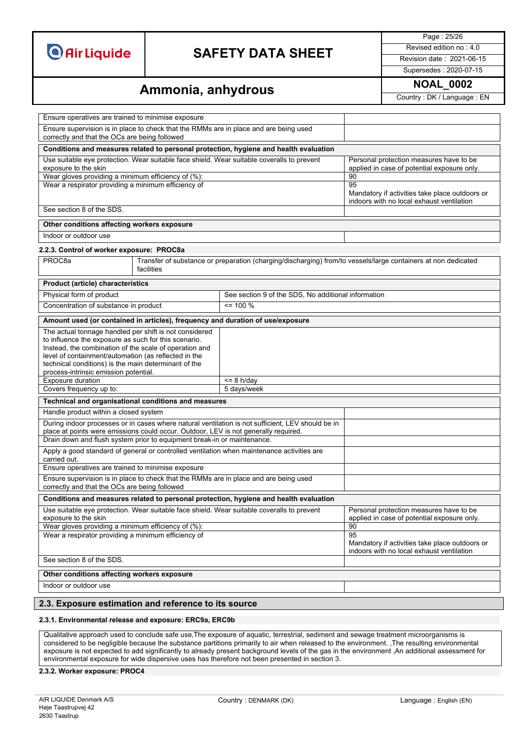## **SAFETY DATA SHEET** Revised edition no : 4.0

Page : 25/26

Supersedes : 2020-07-15

## **Ammonia, anhydrous Ammonia, and Ammonia, and Ammonial Country**: DK / Language : EN

| Ensure operatives are trained to minimise exposure                                                                                                                                                                                                                                                                                |                                                                                                                             |                                                                                                   |                                                                                              |
|-----------------------------------------------------------------------------------------------------------------------------------------------------------------------------------------------------------------------------------------------------------------------------------------------------------------------------------|-----------------------------------------------------------------------------------------------------------------------------|---------------------------------------------------------------------------------------------------|----------------------------------------------------------------------------------------------|
| Ensure supervision is in place to check that the RMMs are in place and are being used<br>correctly and that the OCs are being followed                                                                                                                                                                                            |                                                                                                                             |                                                                                                   |                                                                                              |
|                                                                                                                                                                                                                                                                                                                                   |                                                                                                                             | Conditions and measures related to personal protection, hygiene and health evaluation             |                                                                                              |
| Use suitable eye protection. Wear suitable face shield. Wear suitable coveralls to prevent<br>exposure to the skin<br>Wear gloves providing a minimum efficiency of (%):                                                                                                                                                          |                                                                                                                             |                                                                                                   | Personal protection measures have to be<br>applied in case of potential exposure only.<br>90 |
| Wear a respirator providing a minimum efficiency of                                                                                                                                                                                                                                                                               |                                                                                                                             |                                                                                                   | 95                                                                                           |
|                                                                                                                                                                                                                                                                                                                                   |                                                                                                                             |                                                                                                   | Mandatory if activities take place outdoors or<br>indoors with no local exhaust ventilation  |
| See section 8 of the SDS.                                                                                                                                                                                                                                                                                                         |                                                                                                                             |                                                                                                   |                                                                                              |
| Other conditions affecting workers exposure                                                                                                                                                                                                                                                                                       |                                                                                                                             |                                                                                                   |                                                                                              |
| Indoor or outdoor use                                                                                                                                                                                                                                                                                                             |                                                                                                                             |                                                                                                   |                                                                                              |
| 2.2.3. Control of worker exposure: PROC8a                                                                                                                                                                                                                                                                                         |                                                                                                                             |                                                                                                   |                                                                                              |
| PROC <sub>8a</sub>                                                                                                                                                                                                                                                                                                                | Transfer of substance or preparation (charging/discharging) from/to vessels/large containers at non dedicated<br>facilities |                                                                                                   |                                                                                              |
| Product (article) characteristics                                                                                                                                                                                                                                                                                                 |                                                                                                                             |                                                                                                   |                                                                                              |
| Physical form of product                                                                                                                                                                                                                                                                                                          |                                                                                                                             | See section 9 of the SDS, No additional information                                               |                                                                                              |
| Concentration of substance in product                                                                                                                                                                                                                                                                                             |                                                                                                                             | $= 100 \%$                                                                                        |                                                                                              |
|                                                                                                                                                                                                                                                                                                                                   |                                                                                                                             | Amount used (or contained in articles), frequency and duration of use/exposure                    |                                                                                              |
| The actual tonnage handled per shift is not considered<br>to influence the exposure as such for this scenario.<br>Instead, the combination of the scale of operation and<br>level of containment/automation (as reflected in the<br>technical conditions) is the main determinant of the<br>process-intrinsic emission potential. |                                                                                                                             |                                                                                                   |                                                                                              |
| Exposure duration                                                                                                                                                                                                                                                                                                                 |                                                                                                                             | $<= 8$ h/day                                                                                      |                                                                                              |
| Covers frequency up to:<br>5 days/week                                                                                                                                                                                                                                                                                            |                                                                                                                             |                                                                                                   |                                                                                              |
| Technical and organisational conditions and measures                                                                                                                                                                                                                                                                              |                                                                                                                             |                                                                                                   |                                                                                              |
| Handle product within a closed system                                                                                                                                                                                                                                                                                             |                                                                                                                             |                                                                                                   |                                                                                              |
| During indoor processes or in cases where natural ventilation is not sufficient, LEV should be in<br>place at points were emissions could occur. Outdoor, LEV is not generally required.                                                                                                                                          |                                                                                                                             |                                                                                                   |                                                                                              |
| Drain down and flush system prior to equipment break-in or maintenance.                                                                                                                                                                                                                                                           |                                                                                                                             |                                                                                                   |                                                                                              |
| Apply a good standard of general or controlled ventilation when maintenance activities are<br>carried out.                                                                                                                                                                                                                        |                                                                                                                             |                                                                                                   |                                                                                              |
|                                                                                                                                                                                                                                                                                                                                   | Ensure operatives are trained to minimise exposure                                                                          |                                                                                                   |                                                                                              |
| Ensure supervision is in place to check that the RMMs are in place and are being used<br>correctly and that the OCs are being followed                                                                                                                                                                                            |                                                                                                                             |                                                                                                   |                                                                                              |
| Conditions and measures related to personal protection, hygiene and health evaluation                                                                                                                                                                                                                                             |                                                                                                                             |                                                                                                   |                                                                                              |
| Use suitable eye protection. Wear suitable face shield. Wear suitable coveralls to prevent<br>exposure to the skin                                                                                                                                                                                                                |                                                                                                                             |                                                                                                   | Personal protection measures have to be<br>applied in case of potential exposure only.       |
| Wear gloves providing a minimum efficiency of (%):                                                                                                                                                                                                                                                                                |                                                                                                                             |                                                                                                   | 90                                                                                           |
| Wear a respirator providing a minimum efficiency of                                                                                                                                                                                                                                                                               |                                                                                                                             | 95<br>Mandatory if activities take place outdoors or<br>indoors with no local exhaust ventilation |                                                                                              |
| See section 8 of the SDS.                                                                                                                                                                                                                                                                                                         |                                                                                                                             |                                                                                                   |                                                                                              |
| Other conditions affecting workers exposure                                                                                                                                                                                                                                                                                       |                                                                                                                             |                                                                                                   |                                                                                              |
| Indoor or outdoor use                                                                                                                                                                                                                                                                                                             |                                                                                                                             |                                                                                                   |                                                                                              |
| 2.3. Exposure estimation and reference to its source                                                                                                                                                                                                                                                                              |                                                                                                                             |                                                                                                   |                                                                                              |

#### **2.3.1. Environmental release and exposure: ERC9a, ERC9b**

Qualitative approach used to conclude safe use,The exposure of aquatic, terrestrial, sediment and sewage treatment microorganisms is considered to be negligible because the substance partitions primarily to air when released to the environment. ,The resulting environmental exposure is not expected to add significantly to already present background levels of the gas in the environment ,An additional assessment for environmental exposure for wide dispersive uses has therefore not been presented in section 3.

#### **2.3.2. Worker exposure: PROC4**